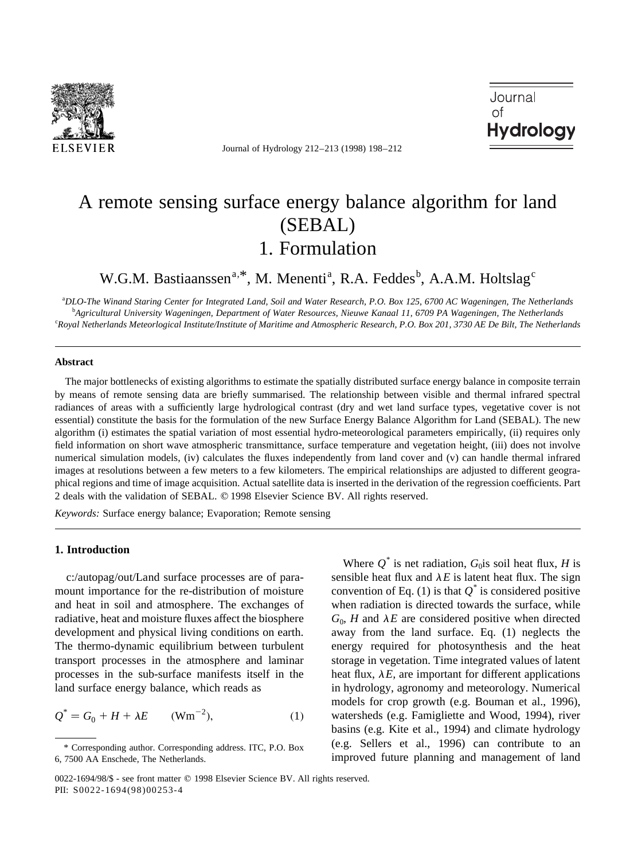

Journal of Hydrology 212–213 (1998) 198–212

Journal Ωf **Hydrology** 

# A remote sensing surface energy balance algorithm for land (SEBAL) 1. Formulation

W.G.M. Bastiaanssen<sup>a,\*</sup>, M. Menenti<sup>a</sup>, R.A. Feddes<sup>b</sup>, A.A.M. Holtslag<sup>c</sup>

a *DLO-The Winand Staring Center for Integrated Land, Soil and Water Research, P.O. Box 125, 6700 AC Wageningen, The Netherlands* b *Agricultural University Wageningen, Department of Water Resources, Nieuwe Kanaal 11, 6709 PA Wageningen, The Netherlands* c *Royal Netherlands Meteorlogical Institute/Institute of Maritime and Atmospheric Research, P.O. Box 201, 3730 AE De Bilt, The Netherlands*

### **Abstract**

The major bottlenecks of existing algorithms to estimate the spatially distributed surface energy balance in composite terrain by means of remote sensing data are briefly summarised. The relationship between visible and thermal infrared spectral radiances of areas with a sufficiently large hydrological contrast (dry and wet land surface types, vegetative cover is not essential) constitute the basis for the formulation of the new Surface Energy Balance Algorithm for Land (SEBAL). The new algorithm (i) estimates the spatial variation of most essential hydro-meteorological parameters empirically, (ii) requires only field information on short wave atmospheric transmittance, surface temperature and vegetation height, (iii) does not involve numerical simulation models, (iv) calculates the fluxes independently from land cover and (v) can handle thermal infrared images at resolutions between a few meters to a few kilometers. The empirical relationships are adjusted to different geographical regions and time of image acquisition. Actual satellite data is inserted in the derivation of the regression coefficients. Part 2 deals with the validation of SEBAL. © 1998 Elsevier Science BV. All rights reserved.

*Keywords:* Surface energy balance; Evaporation; Remote sensing

# **1. Introduction**

c:/autopag/out/Land surface processes are of paramount importance for the re-distribution of moisture and heat in soil and atmosphere. The exchanges of radiative, heat and moisture fluxes affect the biosphere development and physical living conditions on earth. The thermo-dynamic equilibrium between turbulent transport processes in the atmosphere and laminar processes in the sub-surface manifests itself in the land surface energy balance, which reads as

$$
Q^* = G_0 + H + \lambda E \qquad (\text{Wm}^{-2}), \tag{1}
$$

Where  $Q^*$  is net radiation,  $G_0$  is soil heat flux, *H* is sensible heat flux and  $\lambda E$  is latent heat flux. The sign convention of Eq. (1) is that  $Q^*$  is considered positive when radiation is directed towards the surface, while  $G_0$ , *H* and  $\lambda E$  are considered positive when directed away from the land surface. Eq. (1) neglects the energy required for photosynthesis and the heat storage in vegetation. Time integrated values of latent heat flux,  $\lambda E$ , are important for different applications in hydrology, agronomy and meteorology. Numerical models for crop growth (e.g. Bouman et al., 1996), watersheds (e.g. Famigliette and Wood, 1994), river basins (e.g. Kite et al., 1994) and climate hydrology (e.g. Sellers et al., 1996) can contribute to an improved future planning and management of land

<sup>\*</sup> Corresponding author. Corresponding address. ITC, P.O. Box 6, 7500 AA Enschede, The Netherlands.

<sup>0022-1694/98/\$ -</sup> see front matter © 1998 Elsevier Science BV. All rights reserved. PII: S0022-1694(98)00253-4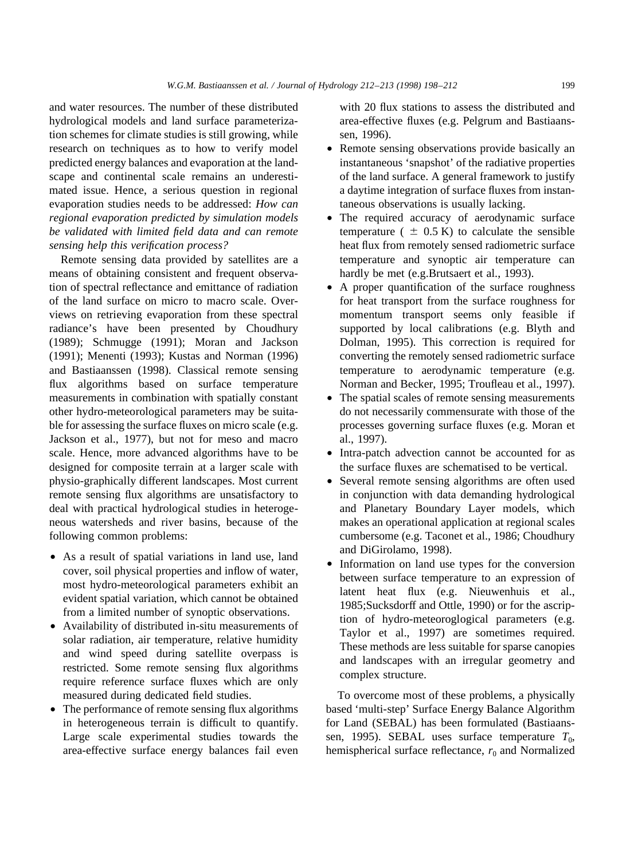and water resources. The number of these distributed hydrological models and land surface parameterization schemes for climate studies is still growing, while research on techniques as to how to verify model predicted energy balances and evaporation at the landscape and continental scale remains an underestimated issue. Hence, a serious question in regional evaporation studies needs to be addressed: *How can regional evaporation predicted by simulation models be validated with limited field data and can remote sensing help this verification process?*

Remote sensing data provided by satellites are a means of obtaining consistent and frequent observation of spectral reflectance and emittance of radiation of the land surface on micro to macro scale. Overviews on retrieving evaporation from these spectral radiance's have been presented by Choudhury (1989); Schmugge (1991); Moran and Jackson (1991); Menenti (1993); Kustas and Norman (1996) and Bastiaanssen (1998). Classical remote sensing flux algorithms based on surface temperature measurements in combination with spatially constant other hydro-meteorological parameters may be suitable for assessing the surface fluxes on micro scale (e.g. Jackson et al., 1977), but not for meso and macro scale. Hence, more advanced algorithms have to be designed for composite terrain at a larger scale with physio-graphically different landscapes. Most current remote sensing flux algorithms are unsatisfactory to deal with practical hydrological studies in heterogeneous watersheds and river basins, because of the following common problems:

- As a result of spatial variations in land use, land cover, soil physical properties and inflow of water, most hydro-meteorological parameters exhibit an evident spatial variation, which cannot be obtained from a limited number of synoptic observations.
- Availability of distributed in-situ measurements of solar radiation, air temperature, relative humidity and wind speed during satellite overpass is restricted. Some remote sensing flux algorithms require reference surface fluxes which are only measured during dedicated field studies.
- The performance of remote sensing flux algorithms in heterogeneous terrain is difficult to quantify. Large scale experimental studies towards the area-effective surface energy balances fail even

with 20 flux stations to assess the distributed and area-effective fluxes (e.g. Pelgrum and Bastiaanssen, 1996).

- Remote sensing observations provide basically an instantaneous 'snapshot' of the radiative properties of the land surface. A general framework to justify a daytime integration of surface fluxes from instantaneous observations is usually lacking.
- The required accuracy of aerodynamic surface temperature (  $\pm$  0.5 K) to calculate the sensible heat flux from remotely sensed radiometric surface temperature and synoptic air temperature can hardly be met (e.g.Brutsaert et al., 1993).
- A proper quantification of the surface roughness for heat transport from the surface roughness for momentum transport seems only feasible if supported by local calibrations (e.g. Blyth and Dolman, 1995). This correction is required for converting the remotely sensed radiometric surface temperature to aerodynamic temperature (e.g. Norman and Becker, 1995; Troufleau et al., 1997).
- The spatial scales of remote sensing measurements do not necessarily commensurate with those of the processes governing surface fluxes (e.g. Moran et al., 1997).
- Intra-patch advection cannot be accounted for as the surface fluxes are schematised to be vertical.
- Several remote sensing algorithms are often used in conjunction with data demanding hydrological and Planetary Boundary Layer models, which makes an operational application at regional scales cumbersome (e.g. Taconet et al., 1986; Choudhury and DiGirolamo, 1998).
- Information on land use types for the conversion between surface temperature to an expression of latent heat flux (e.g. Nieuwenhuis et al., 1985;Sucksdorff and Ottle, 1990) or for the ascription of hydro-meteoroglogical parameters (e.g. Taylor et al., 1997) are sometimes required. These methods are less suitable for sparse canopies and landscapes with an irregular geometry and complex structure.

To overcome most of these problems, a physically based 'multi-step' Surface Energy Balance Algorithm for Land (SEBAL) has been formulated (Bastiaanssen, 1995). SEBAL uses surface temperature  $T_0$ , hemispherical surface reflectance,  $r_0$  and Normalized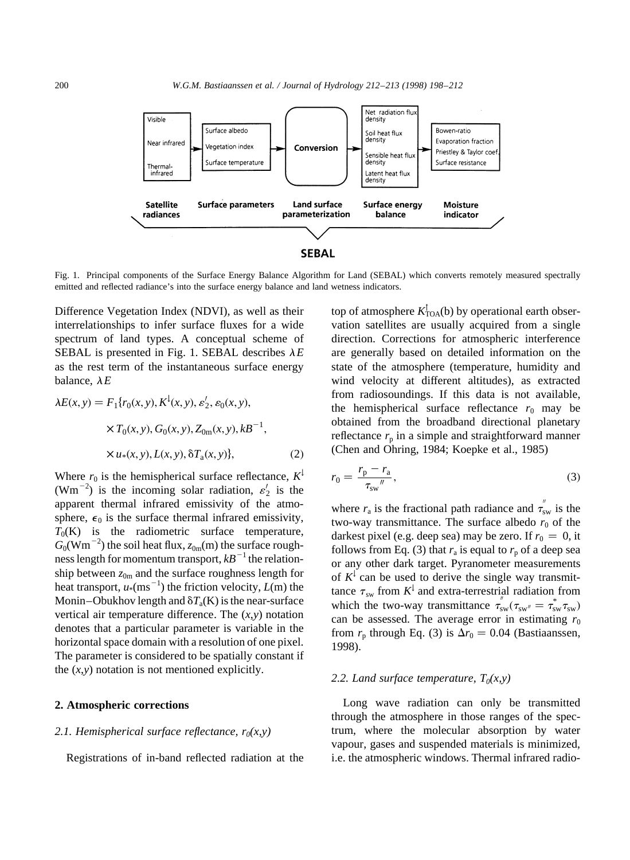

Fig. 1. Principal components of the Surface Energy Balance Algorithm for Land (SEBAL) which converts remotely measured spectrally emitted and reflected radiance's into the surface energy balance and land wetness indicators.

Difference Vegetation Index (NDVI), as well as their interrelationships to infer surface fluxes for a wide spectrum of land types. A conceptual scheme of SEBAL is presented in Fig. 1. SEBAL describes  $\lambda E$ as the rest term of the instantaneous surface energy balance,  $\lambda E$ 

$$
\lambda E(x, y) = F_1\{r_0(x, y), K^1(x, y), \varepsilon'_2, \varepsilon_0(x, y),
$$
  
×  $T_0(x, y), G_0(x, y), Z_{0m}(x, y), kB^{-1},$   
×  $u_*(x, y), L(x, y), \delta T_a(x, y)\},$  (2)

Where  $r_0$  is the hemispherical surface reflectance,  $K^{\downarrow}$ (Wm<sup>-2</sup>) is the incoming solar radiation,  $\varepsilon'_2$  is the apparent thermal infrared emissivity of the atmosphere,  $\epsilon_0$  is the surface thermal infrared emissivity,  $T_0(K)$  is the radiometric surface temperature,  $G_0(\text{Wm}^{-2})$  the soil heat flux,  $z_{0\text{m}}(\text{m})$  the surface roughness length for momentum transport,  $kB^{-1}$  the relationship between  $z_{0m}$  and the surface roughness length for heat transport,  $u$ <sup>\*</sup>(ms<sup>-1</sup>) the friction velocity, *L*(m) the Monin–Obukhov length and  $\delta T_a(K)$  is the near-surface vertical air temperature difference. The  $(x, y)$  notation denotes that a particular parameter is variable in the horizontal space domain with a resolution of one pixel. The parameter is considered to be spatially constant if the  $(x,y)$  notation is not mentioned explicitly.

# **2. Atmospheric corrections**

### 2.1. Hemispherical surface reflectance,  $r_0(x, y)$

Registrations of in-band reflected radiation at the

top of atmosphere  $K_{\text{TOA}}^{\dagger}(\mathbf{b})$  by operational earth observation satellites are usually acquired from a single direction. Corrections for atmospheric interference are generally based on detailed information on the state of the atmosphere (temperature, humidity and wind velocity at different altitudes), as extracted from radiosoundings. If this data is not available, the hemispherical surface reflectance  $r_0$  may be obtained from the broadband directional planetary reflectance  $r_p$  in a simple and straightforward manner (Chen and Ohring, 1984; Koepke et al., 1985)

$$
r_0 = \frac{r_{\rm p} - r_{\rm a}}{\tau_{\rm sw}}\,,\tag{3}
$$

where  $r_a$  is the fractional path radiance and  $\tau_{sw}^{''}$  is the two-way transmittance. The surface albedo  $r_0$  of the darkest pixel (e.g. deep sea) may be zero. If  $r_0 = 0$ , it follows from Eq. (3) that  $r_a$  is equal to  $r_p$  of a deep sea or any other dark target. Pyranometer measurements of  $K^{\downarrow}$  can be used to derive the single way transmittance  $\tau_{sw}$  from  $K^{\downarrow}$  and extra-terrestrial radiation from which the two-way transmittance  $\tau_{sw}^{''}(\tau_{sw} = \tau_{sw}^{*} \tau_{sw})$ can be assessed. The average error in estimating  $r_0$ from  $r_p$  through Eq. (3) is  $\Delta r_0 = 0.04$  (Bastiaanssen, 1998).

### 2.2. Land surface temperature,  $T_0(x, y)$

Long wave radiation can only be transmitted through the atmosphere in those ranges of the spectrum, where the molecular absorption by water vapour, gases and suspended materials is minimized, i.e. the atmospheric windows. Thermal infrared radio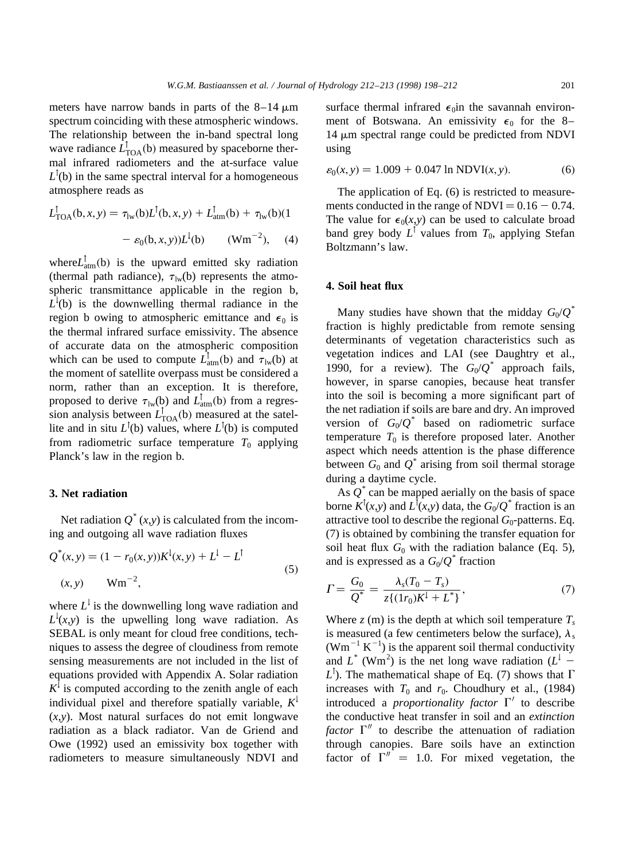meters have narrow bands in parts of the  $8-14 \mu m$ spectrum coinciding with these atmospheric windows. The relationship between the in-band spectral long wave radiance  $\hat{L}_{\text{TOA}}^{\dagger}$  (b) measured by spaceborne thermal infrared radiometers and the at-surface value  $L^{\dagger}$ (b) in the same spectral interval for a homogeneous atmosphere reads as

$$
L_{\text{TOA}}^{\dagger}(b, x, y) = \tau_{\text{lw}}(b)L^{\dagger}(b, x, y) + L_{\text{atm}}^{\dagger}(b) + \tau_{\text{lw}}(b)(1 - \varepsilon_0(b, x, y))L^{\dagger}(b) \qquad (\text{Wm}^{-2}), \quad (4)
$$

where $L_{\text{atm}}^{\dagger}(\mathbf{b})$  is the upward emitted sky radiation (thermal path radiance),  $\tau_{\rm lw}$ (b) represents the atmospheric transmittance applicable in the region b,  $L<sup>1</sup>(b)$  is the downwelling thermal radiance in the region b owing to atmospheric emittance and  $\epsilon_0$  is the thermal infrared surface emissivity. The absence of accurate data on the atmospheric composition which can be used to compute  $\hat{L}_{\text{atm}}^{\uparrow}(\mathbf{b})$  and  $\hat{\tau}_{\text{lw}}(\mathbf{b})$  at the moment of satellite overpass must be considered a norm, rather than an exception. It is therefore, proposed to derive  $\tau_{\text{lw}}(b)$  and  $L^{\dagger}_{\text{atm}}(b)$  from a regression analysis between  $L_{\text{TOA}}^{\uparrow}$  (b) measured at the satellite and in situ  $L^{\dagger}$ (b) values, where  $L^{\dagger}$ (b) is computed from radiometric surface temperature  $T_0$  applying Planck's law in the region b.

### **3. Net radiation**

Net radiation  $Q^*(x, y)$  is calculated from the incoming and outgoing all wave radiation fluxes

$$
Q^*(x, y) = (1 - r_0(x, y))K^1(x, y) + L^1 - L^1
$$
  
(x, y)  $Wm^{-2}$ , (5)

where  $L^{\downarrow}$  is the downwelling long wave radiation and  $L^1(x, y)$  is the upwelling long wave radiation. As SEBAL is only meant for cloud free conditions, techniques to assess the degree of cloudiness from remote sensing measurements are not included in the list of equations provided with Appendix A. Solar radiation  $K^{\downarrow}$  is computed according to the zenith angle of each individual pixel and therefore spatially variable,  $K^{\downarrow}$  $(x,y)$ . Most natural surfaces do not emit longwave radiation as a black radiator. Van de Griend and Owe (1992) used an emissivity box together with radiometers to measure simultaneously NDVI and

surface thermal infrared  $\epsilon_0$ in the savannah environment of Botswana. An emissivity  $\epsilon_0$  for the 8–  $14 \mu m$  spectral range could be predicted from NDVI using

$$
\varepsilon_0(x, y) = 1.009 + 0.047 \ln \text{NDVI}(x, y). \tag{6}
$$

The application of Eq. (6) is restricted to measurements conducted in the range of  $NDVI = 0.16 - 0.74$ . The value for  $\epsilon_0(x,y)$  can be used to calculate broad band grey body  $L^{\dagger}$  values from  $T_0$ , applying Stefan Boltzmann's law.

### **4. Soil heat flux**

Many studies have shown that the midday  $G_0/Q^*$ fraction is highly predictable from remote sensing determinants of vegetation characteristics such as vegetation indices and LAI (see Daughtry et al., 1990, for a review). The  $G_0/Q^*$  approach fails, however, in sparse canopies, because heat transfer into the soil is becoming a more significant part of the net radiation if soils are bare and dry. An improved version of  $G_0/Q^*$  based on radiometric surface temperature  $T_0$  is therefore proposed later. Another aspect which needs attention is the phase difference between  $G_0$  and  $Q^*$  arising from soil thermal storage during a daytime cycle.

As  $Q^*$  can be mapped aerially on the basis of space borne  $K^{\dagger}(x,y)$  and  $L^{\dagger}(x,y)$  data, the  $G_0/Q^*$  fraction is an attractive tool to describe the regional  $G_0$ -patterns. Eq. (7) is obtained by combining the transfer equation for soil heat flux  $G_0$  with the radiation balance (Eq. 5), and is expressed as a  $G_0/Q^*$  fraction

$$
\Gamma = \frac{G_0}{Q^*} = \frac{\lambda_s (T_0 - T_s)}{z \{ (1r_0) K^1 + L^* \}},\tag{7}
$$

Where  $z$  (m) is the depth at which soil temperature  $T_s$ is measured (a few centimeters below the surface),  $\lambda_s$  $(Wm^{-1} K^{-1})$  is the apparent soil thermal conductivity and  $L^*$  (Wm<sup>2</sup>) is the net long wave radiation ( $L^{\downarrow}$  - $L^{\dagger}$ ). The mathematical shape of Eq. (7) shows that  $\Gamma$ increases with  $T_0$  and  $r_0$ . Choudhury et al., (1984) introduced a *proportionality factor*  $\Gamma'$  to describe the conductive heat transfer in soil and an *extinction factor*  $\Gamma''$  to describe the attenuation of radiation through canopies. Bare soils have an extinction factor of  $\Gamma'' = 1.0$ . For mixed vegetation, the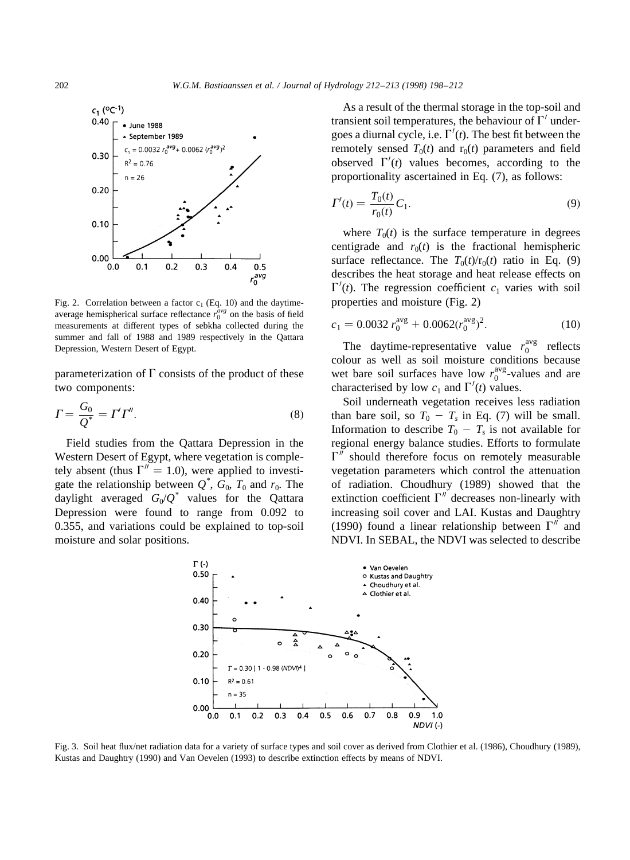

Fig. 2. Correlation between a factor  $c_1$  (Eq. 10) and the daytimeaverage hemispherical surface reflectance  $r_0^{\text{avg}}$  on the basis of field measurements at different types of sebkha collected during the summer and fall of 1988 and 1989 respectively in the Qattara Depression, Western Desert of Egypt.

parameterization of  $\Gamma$  consists of the product of these two components:

$$
\Gamma = \frac{G_0}{Q^*} = \Gamma' \Gamma''.
$$
\n<sup>(8)</sup>

Field studies from the Qattara Depression in the Western Desert of Egypt, where vegetation is completely absent (thus  $\Gamma'' = 1.0$ ), were applied to investigate the relationship between  $Q^*$ ,  $G_0$ ,  $T_0$  and  $r_0$ . The daylight averaged  $G_0/Q^*$  values for the Qattara Depression were found to range from 0.092 to 0.355, and variations could be explained to top-soil moisture and solar positions.

As a result of the thermal storage in the top-soil and transient soil temperatures, the behaviour of  $\Gamma'$  undergoes a diurnal cycle, i.e.  $\Gamma'(t)$ . The best fit between the remotely sensed  $T_0(t)$  and  $r_0(t)$  parameters and field observed  $\Gamma'(t)$  values becomes, according to the proportionality ascertained in Eq. (7), as follows:

$$
\Gamma'(t) = \frac{T_0(t)}{r_0(t)} C_1.
$$
\n(9)

where  $T_0(t)$  is the surface temperature in degrees centigrade and  $r_0(t)$  is the fractional hemispheric surface reflectance. The  $T_0(t)/r_0(t)$  ratio in Eq. (9) describes the heat storage and heat release effects on  $\Gamma'(t)$ . The regression coefficient  $c_1$  varies with soil properties and moisture (Fig. 2)

$$
c_1 = 0.0032 r_0^{\text{avg}} + 0.0062 (r_0^{\text{avg}})^2. \tag{10}
$$

The daytime-representative value  $r_0^{\text{avg}}$  reflects colour as well as soil moisture conditions because wet bare soil surfaces have low  $r_0^{\text{avg}}$ -values and are characterised by low  $c_1$  and  $\Gamma'(t)$  values.

Soil underneath vegetation receives less radiation than bare soil, so  $T_0 - T_s$  in Eq. (7) will be small. Information to describe  $T_0 - T_s$  is not available for regional energy balance studies. Efforts to formulate  $\Gamma''$  should therefore focus on remotely measurable vegetation parameters which control the attenuation of radiation. Choudhury (1989) showed that the extinction coefficient  $\Gamma''$  decreases non-linearly with increasing soil cover and LAI. Kustas and Daughtry (1990) found a linear relationship between  $\Gamma''$  and NDVI. In SEBAL, the NDVI was selected to describe



Fig. 3. Soil heat flux/net radiation data for a variety of surface types and soil cover as derived from Clothier et al. (1986), Choudhury (1989), Kustas and Daughtry (1990) and Van Oevelen (1993) to describe extinction effects by means of NDVI.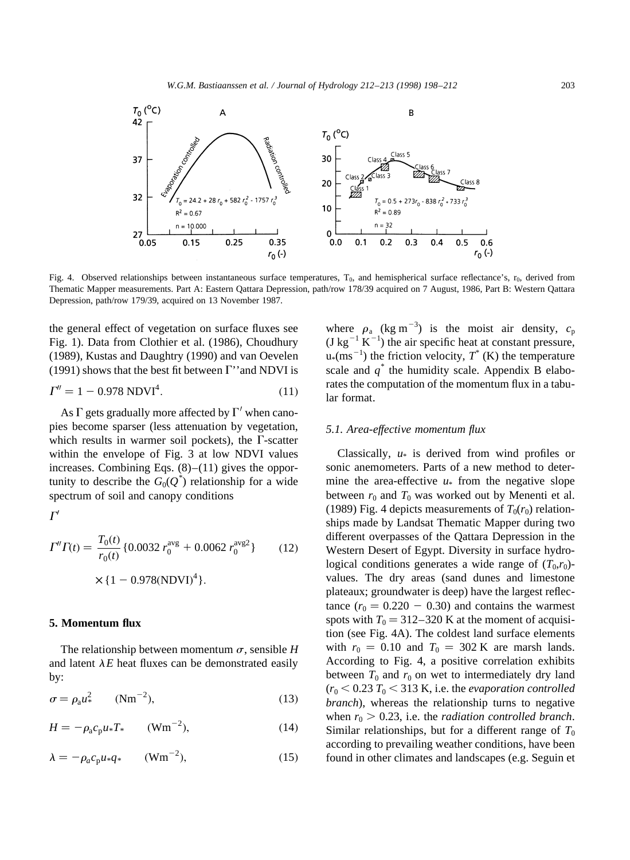

Fig. 4. Observed relationships between instantaneous surface temperatures,  $T_0$ , and hemispherical surface reflectance's,  $r_0$ , derived from Thematic Mapper measurements. Part A: Eastern Qattara Depression, path/row 178/39 acquired on 7 August, 1986, Part B: Western Qattara Depression, path/row 179/39, acquired on 13 November 1987.

the general effect of vegetation on surface fluxes see Fig. 1). Data from Clothier et al. (1986), Choudhury (1989), Kustas and Daughtry (1990) and van Oevelen (1991) shows that the best fit between  $\Gamma$ " and NDVI is

$$
\Gamma'' = 1 - 0.978 \text{ NDVI}^4. \tag{11}
$$

As  $\Gamma$  gets gradually more affected by  $\Gamma'$  when canopies become sparser (less attenuation by vegetation, which results in warmer soil pockets), the  $\Gamma$ -scatter within the envelope of Fig. 3 at low NDVI values increases. Combining Eqs.  $(8)$ – $(11)$  gives the opportunity to describe the  $G_0(Q^*)$  relationship for a wide spectrum of soil and canopy conditions

 $\Gamma'$ 

$$
\Gamma'' \Gamma(t) = \frac{T_0(t)}{r_0(t)} \{0.0032 \ r_0^{\text{avg}} + 0.0062 \ r_0^{\text{avg}}\} \tag{12}
$$

$$
\times \{1 - 0.978(\text{NDVI})^4\}.
$$

# **5. Momentum flux**

The relationship between momentum  $\sigma$ , sensible *H* and latent  $\lambda E$  heat fluxes can be demonstrated easily by:

$$
\sigma = \rho_{\rm a} u_{*}^2 \qquad (\text{Nm}^{-2}), \tag{13}
$$

$$
H = -\rho_a c_p u_* T_* \qquad (\text{Wm}^{-2}), \tag{14}
$$

$$
\lambda = -\rho_a c_p u_* q_* \qquad (\text{Wm}^{-2}), \tag{15}
$$

where  $\rho_a$  (kg m<sup>-3</sup>) is the moist air density,  $c_p$  $($ J kg<sup>-1</sup> K<sup>-1</sup> $)$  the air specific heat at constant pressure,  $u*(ms^{-1})$  the friction velocity,  $T^*(K)$  the temperature scale and  $q^*$  the humidity scale. Appendix B elaborates the computation of the momentum flux in a tabular format.

# *5.1. Area-effective momentum flux*

Classically, *u*\* is derived from wind profiles or sonic anemometers. Parts of a new method to determine the area-effective  $u^*$  from the negative slope between  $r_0$  and  $T_0$  was worked out by Menenti et al. (1989) Fig. 4 depicts measurements of  $T_0(r_0)$  relationships made by Landsat Thematic Mapper during two different overpasses of the Qattara Depression in the Western Desert of Egypt. Diversity in surface hydrological conditions generates a wide range of  $(T_0,r_0)$ values. The dry areas (sand dunes and limestone plateaux; groundwater is deep) have the largest reflectance  $(r_0 = 0.220 - 0.30)$  and contains the warmest spots with  $T_0 = 312-320$  K at the moment of acquisition (see Fig. 4A). The coldest land surface elements with  $r_0 = 0.10$  and  $T_0 = 302$  K are marsh lands. According to Fig. 4, a positive correlation exhibits between  $T_0$  and  $r_0$  on wet to intermediately dry land  $(r_0 < 0.23 T_0 < 313 K$ , i.e. the *evaporation controlled branch*), whereas the relationship turns to negative when  $r_0 > 0.23$ , i.e. the *radiation controlled branch*. Similar relationships, but for a different range of  $T_0$ according to prevailing weather conditions, have been found in other climates and landscapes (e.g. Seguin et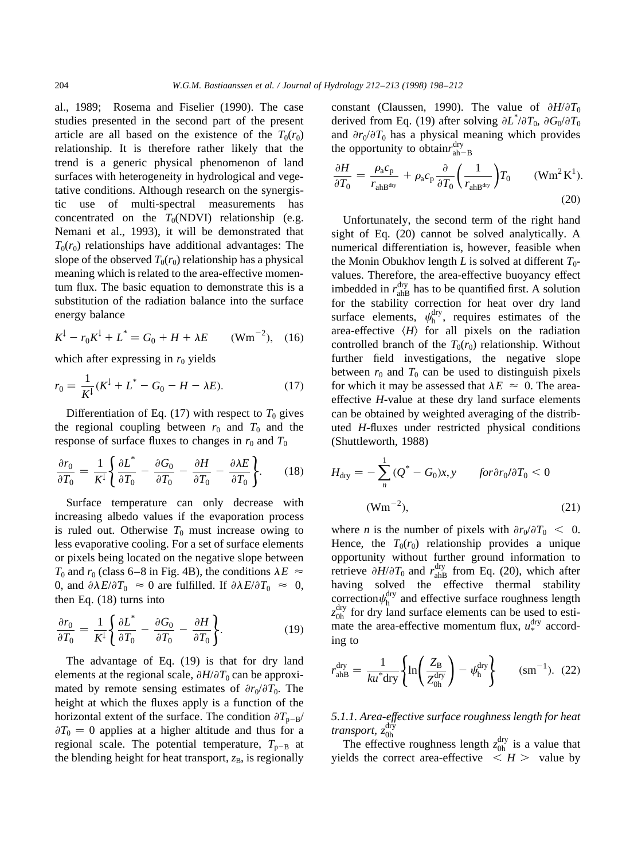al., 1989; Rosema and Fiselier (1990). The case studies presented in the second part of the present article are all based on the existence of the  $T_0(r_0)$ relationship. It is therefore rather likely that the trend is a generic physical phenomenon of land surfaces with heterogeneity in hydrological and vegetative conditions. Although research on the synergistic use of multi-spectral measurements has concentrated on the  $T_0(NDVI)$  relationship (e.g. Nemani et al., 1993), it will be demonstrated that  $T_0(r_0)$  relationships have additional advantages: The slope of the observed  $T_0(r_0)$  relationship has a physical meaning which is related to the area-effective momentum flux. The basic equation to demonstrate this is a substitution of the radiation balance into the surface energy balance

$$
K^{\downarrow} - r_0 K^{\downarrow} + L^* = G_0 + H + \lambda E \qquad (\text{Wm}^{-2}), \quad (16)
$$

which after expressing in  $r_0$  yields

$$
r_0 = \frac{1}{K^1}(K^1 + L^* - G_0 - H - \lambda E). \tag{17}
$$

Differentiation of Eq.  $(17)$  with respect to  $T_0$  gives the regional coupling between  $r_0$  and  $T_0$  and the response of surface fluxes to changes in  $r_0$  and  $T_0$ 

$$
\frac{\partial r_0}{\partial T_0} = \frac{1}{K^1} \left\{ \frac{\partial L^*}{\partial T_0} - \frac{\partial G_0}{\partial T_0} - \frac{\partial H}{\partial T_0} - \frac{\partial \lambda E}{\partial T_0} \right\}.
$$
 (18)

Surface temperature can only decrease with increasing albedo values if the evaporation process is ruled out. Otherwise  $T_0$  must increase owing to less evaporative cooling. For a set of surface elements or pixels being located on the negative slope between  $T_0$  and  $r_0$  (class 6–8 in Fig. 4B), the conditions  $\lambda E \approx$ 0, and  $\partial \lambda E / \partial T_0 \approx 0$  are fulfilled. If  $\partial \lambda E / \partial T_0 \approx 0$ , then Eq. (18) turns into

$$
\frac{\partial r_0}{\partial T_0} = \frac{1}{K^1} \left\{ \frac{\partial L^*}{\partial T_0} - \frac{\partial G_0}{\partial T_0} - \frac{\partial H}{\partial T_0} \right\}.
$$
 (19)

The advantage of Eq. (19) is that for dry land elements at the regional scale,  $\partial H / \partial T_0$  can be approximated by remote sensing estimates of  $\partial r_0/\partial T_0$ . The height at which the fluxes apply is a function of the horizontal extent of the surface. The condition  $\partial T_{p-B}/\partial T_{p-B}$  $\partial T_0 = 0$  applies at a higher altitude and thus for a regional scale. The potential temperature,  $T_{p-B}$  at the blending height for heat transport,  $z_B$ , is regionally

constant (Claussen, 1990). The value of  $\partial H/\partial T_0$ derived from Eq. (19) after solving  $\partial L^* / \partial T_0$ ,  $\partial G_0 / \partial T_0$ and  $\partial r_0 / \partial T_0$  has a physical meaning which provides the opportunity to obtain $r_{ah-B}^{dry}$ 

$$
\frac{\partial H}{\partial T_0} = \frac{\rho_a c_p}{r_{\text{ah}B^{\text{dry}}}} + \rho_a c_p \frac{\partial}{\partial T_0} \left(\frac{1}{r_{\text{ah}B^{\text{dry}}}}\right) T_0 \qquad (\text{Wm}^2 \text{K}^1). \tag{20}
$$

Unfortunately, the second term of the right hand sight of Eq. (20) cannot be solved analytically. A numerical differentiation is, however, feasible when the Monin Obukhov length *L* is solved at different  $T_0$ values. Therefore, the area-effective buoyancy effect imbedded in  $r_{\text{ahB}}^{\text{dry}}$  has to be quantified first. A solution for the stability correction for heat over dry land surface elements,  $\psi_h^{\text{dry}}$ , requires estimates of the area-effective  $\langle H \rangle$  for all pixels on the radiation controlled branch of the  $T_0(r_0)$  relationship. Without further field investigations, the negative slope between  $r_0$  and  $T_0$  can be used to distinguish pixels for which it may be assessed that  $\lambda E \approx 0$ . The areaeffective *H*-value at these dry land surface elements can be obtained by weighted averaging of the distributed *H*-fluxes under restricted physical conditions (Shuttleworth, 1988)

$$
H_{\text{dry}} = -\sum_{n}^{1} (Q^* - G_0)x, \qquad \text{for} \partial r_0 / \partial T_0 < 0
$$
\n
$$
\text{(Wm}^{-2}), \qquad (21)
$$

where *n* is the number of pixels with  $\partial r_0 / \partial T_0 < 0$ . Hence, the  $T_0(r_0)$  relationship provides a unique opportunity without further ground information to retrieve  $\partial H/\partial T_0$  and  $r_{\text{ahB}}^{\text{dry}}$  from Eq. (20), which after having solved the effective thermal stability correction  $\psi_h^{\text{dry}}$  and effective surface roughness length  $z_{0h}^{\text{dry}}$  for dry land surface elements can be used to estimate the area-effective momentum flux,  $u_*^{\text{dry}}$  according to

$$
r_{\text{ahB}}^{\text{dry}} = \frac{1}{ku^* \text{dry}} \left\{ \ln \left( \frac{Z_{\text{B}}}{Z_{0\text{h}}^{\text{dry}}} \right) - \psi_{\text{h}}^{\text{dry}} \right\} \qquad (\text{sm}^{-1}). \tag{22}
$$

*5.1.1. Area-effective surface roughness length for heat* transport, z<sup>dry</sup>

The effective roughness length  $z_{0h}^{\text{dry}}$  is a value that yields the correct area-effective  $\langle H \rangle$  value by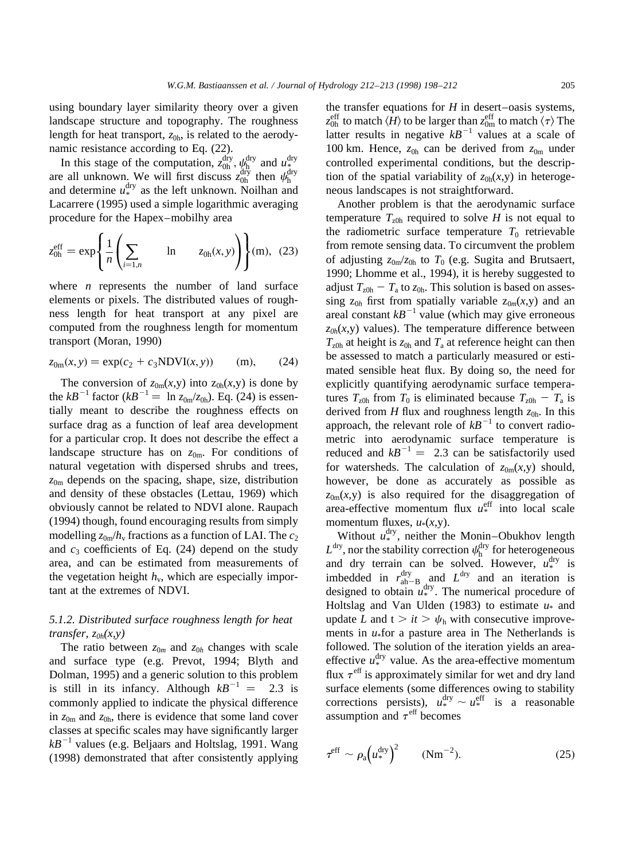using boundary layer similarity theory over a given landscape structure and topography. The roughness length for heat transport,  $z_{0h}$ , is related to the aerodynamic resistance according to Eq. (22).

In this stage of the computation,  $z_{0h}^{\text{dry}}$ ,  $\psi_{h}^{\text{dry}}$  and  $u_{*}^{\text{dry}}$  are all unknown. We will first discuss  $z_{0h}^{\text{dry}}$  then  $\psi_{h}^{\text{dry}}$  and determine  $u_{*}^{\text{dry}}$  as the left unknown. Noilhan and Lacarrere (1995) used a simple logarithmic averaging procedure for the Hapex–mobilhy area

$$
z_{0h}^{\rm eff} = \exp\left\{\frac{1}{n}\left(\sum_{i=1,n} \quad \ln \quad z_{0h}(x,y)\right)\right\}(m), (23)
$$

where *n* represents the number of land surface elements or pixels. The distributed values of roughness length for heat transport at any pixel are computed from the roughness length for momentum transport (Moran, 1990)

$$
z_{0m}(x, y) = \exp(c_2 + c_3 NDVI(x, y))
$$
 (m), (24)

The conversion of  $z_{0m}(x,y)$  into  $z_{0h}(x,y)$  is done by the  $kB^{-1}$  factor ( $kB^{-1} = \ln z_{0m}/z_{0h}$ ). Eq. (24) is essentially meant to describe the roughness effects on surface drag as a function of leaf area development for a particular crop. It does not describe the effect a landscape structure has on *z*0m. For conditions of natural vegetation with dispersed shrubs and trees, *z*0m depends on the spacing, shape, size, distribution and density of these obstacles (Lettau, 1969) which obviously cannot be related to NDVI alone. Raupach (1994) though, found encouraging results from simply modelling  $z_{0m}/h_v$  fractions as a function of LAI. The  $c_2$ and  $c_3$  coefficients of Eq.  $(24)$  depend on the study area, and can be estimated from measurements of the vegetation height  $h<sub>v</sub>$ , which are especially important at the extremes of NDVI.

# *5.1.2. Distributed surface roughness length for heat transfer,*  $z_{0h}(x, y)$

The ratio between  $z_{0m}$  and  $z_{0h}$  changes with scale and surface type (e.g. Prevot, 1994; Blyth and Dolman, 1995) and a generic solution to this problem is still in its infancy. Although  $kB^{-1} = 2.3$  is commonly applied to indicate the physical difference in  $z_{0m}$  and  $z_{0h}$ , there is evidence that some land cover classes at specific scales may have significantly larger  $kB^{-1}$  values (e.g. Beljaars and Holtslag, 1991. Wang (1998) demonstrated that after consistently applying

the transfer equations for *H* in desert–oasis systems,  $z_{0\text{h}}^{\text{eff}}$  to match  $\langle H \rangle$  to be larger than  $z_{0\text{m}}^{\text{eff}}$  to match  $\langle \tau \rangle$  The latter results in negative  $kB^{-1}$  values at a scale of 100 km. Hence,  $z_{0h}$  can be derived from  $z_{0m}$  under controlled experimental conditions, but the description of the spatial variability of  $z_{0h}(x,y)$  in heterogeneous landscapes is not straightforward.

Another problem is that the aerodynamic surface temperature  $T_{z0h}$  required to solve *H* is not equal to the radiometric surface temperature  $T_0$  retrievable from remote sensing data. To circumvent the problem of adjusting  $z_{0m}/z_{0h}$  to  $T_0$  (e.g. Sugita and Brutsaert, 1990; Lhomme et al., 1994), it is hereby suggested to adjust  $T_{z0h} - T_a$  to  $z_{0h}$ . This solution is based on assessing  $z_{0h}$  first from spatially variable  $z_{0m}(x,y)$  and an areal constant  $kB^{-1}$  value (which may give erroneous  $z_{0h}(x, y)$  values). The temperature difference between  $T_{\text{z0h}}$  at height is  $z_{0h}$  and  $T_a$  at reference height can then be assessed to match a particularly measured or estimated sensible heat flux. By doing so, the need for explicitly quantifying aerodynamic surface temperatures  $T_{z0h}$  from  $T_0$  is eliminated because  $T_{z0h} - T_a$  is derived from  $H$  flux and roughness length  $z_{0h}$ . In this approach, the relevant role of  $kB^{-1}$  to convert radiometric into aerodynamic surface temperature is reduced and  $kB^{-1} = 2.3$  can be satisfactorily used for watersheds. The calculation of  $z_{0m}(x, y)$  should, however, be done as accurately as possible as  $z_{0m}(x, y)$  is also required for the disaggregation of area-effective momentum flux  $u^{\text{eff}}_*$  into local scale momentum fluxes,  $u*(x,y)$ .

Without  $u^{\text{dry}}_*$ , neither the Monin–Obukhov length  $L^{\text{dry}}$ , nor the stability correction  $\psi_{h}^{\text{dry}}$  for heterogeneous and dry terrain can be solved. However,  $u_*^{\text{dry}}$  is imbedded in  $r_{\text{ah}-\text{B}}^{\text{dry}}$  and  $L^{\text{dry}}$  and an iteration is designed to obtain  $u^{\text{dry}}_*$ . The numerical procedure of Holtslag and Van Ulden (1983) to estimate  $u_*$  and update *L* and  $t > it > \psi_h$  with consecutive improvements in *u*\*for a pasture area in The Netherlands is followed. The solution of the iteration yields an areaeffective  $u^{\text{dry}}_*$  value. As the area-effective momentum flux  $\tau^{\text{eff}}$  is approximately similar for wet and dry land surface elements (some differences owing to stability corrections persists),  $u^{\text{dry}}_* \sim u^{\text{eff}}_*$  is a reasonable assumption and  $\tau^{\text{eff}}$  becomes

$$
\tau^{\rm eff} \sim \rho_{\rm a} \left( u_*^{\rm dry} \right)^2 \qquad (\text{Nm}^{-2}). \tag{25}
$$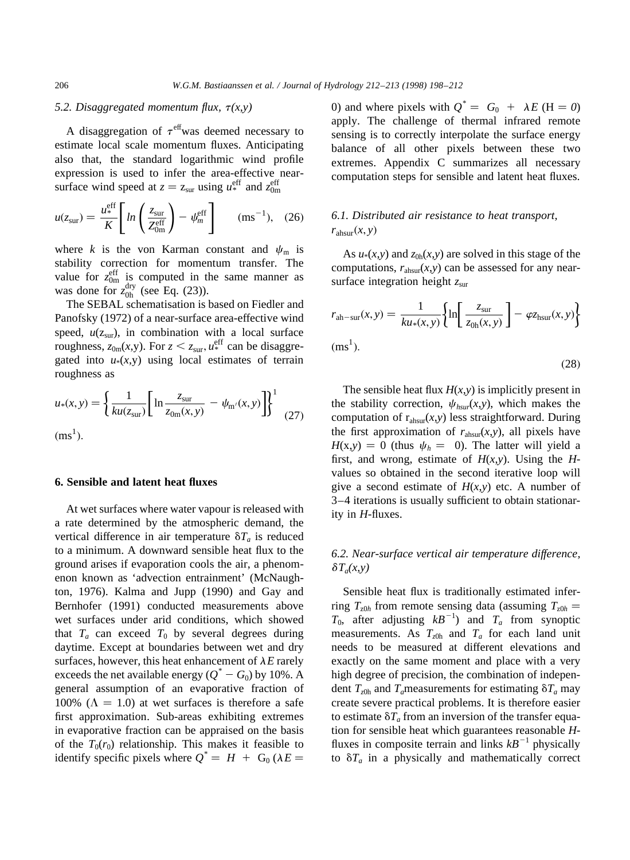# *5.2. Disaggregated momentum flux,*  $\tau(x,y)$

A disaggregation of  $\tau^{\text{eff}}$  was deemed necessary to estimate local scale momentum fluxes. Anticipating also that, the standard logarithmic wind profile expression is used to infer the area-effective nearsurface wind speed at  $z = z_{\text{sur}}$  using  $u^{\text{eff}}_*$  and  $z^{\text{eff}}_{0\text{m}}$ 

$$
u(z_{\rm sur}) = \frac{u_{*}^{\rm eff}}{K} \left[ \ln \left( \frac{z_{\rm sur}}{Z_{0\rm m}^{\rm eff}} \right) - \psi_m^{\rm eff} \right] \qquad (\rm ms^{-1}), \quad (26)
$$

where *k* is the von Karman constant and  $\psi_m$  is stability correction for momentum transfer. The value for  $z_{0m}^{\text{eff}}$  is computed in the same manner as was done for  $z_{0h}^{\text{dry}}$  (see Eq. (23)).

The SEBAL schematisation is based on Fiedler and Panofsky (1972) of a near-surface area-effective wind speed,  $u(z_{sur})$ , in combination with a local surface roughness,  $z_{0m}(x,y)$ . For  $z < z_{sur}$ ,  $u_*^{\text{eff}}$  can be disaggregated into  $u*(x,y)$  using local estimates of terrain roughness as

$$
u_*(x, y) = \left\{ \frac{1}{ku(z_{\text{sur}})} \left[ \ln \frac{z_{\text{sur}}}{z_{0\text{m}}(x, y)} - \psi_{\text{m}'}(x, y) \right] \right\}^1
$$
 (27)  
(ms<sup>1</sup>).

# **6. Sensible and latent heat fluxes**

At wet surfaces where water vapour is released with a rate determined by the atmospheric demand, the vertical difference in air temperature  $\delta T_a$  is reduced to a minimum. A downward sensible heat flux to the ground arises if evaporation cools the air, a phenomenon known as 'advection entrainment' (McNaughton, 1976). Kalma and Jupp (1990) and Gay and Bernhofer (1991) conducted measurements above wet surfaces under arid conditions, which showed that  $T_a$  can exceed  $T_0$  by several degrees during daytime. Except at boundaries between wet and dry surfaces, however, this heat enhancement of  $\lambda E$  rarely exceeds the net available energy  $(Q^* - G_0)$  by 10%. A general assumption of an evaporative fraction of 100% ( $\Lambda = 1.0$ ) at wet surfaces is therefore a safe first approximation. Sub-areas exhibiting extremes in evaporative fraction can be appraised on the basis of the  $T_0(r_0)$  relationship. This makes it feasible to identify specific pixels where  $Q^* = H + G_0 (\lambda E =$ 

0) and where pixels with  $Q^* = G_0 + \lambda E$  (H = 0) apply. The challenge of thermal infrared remote sensing is to correctly interpolate the surface energy balance of all other pixels between these two extremes. Appendix C summarizes all necessary computation steps for sensible and latent heat fluxes.

# *6.1. Distributed air resistance to heat transport,*  $r_{\text{absur}}(x, y)$

As  $u*(x, y)$  and  $z_{0h}(x, y)$  are solved in this stage of the computations,  $r_{\text{absur}}(x, y)$  can be assessed for any nearsurface integration height  $z<sub>sur</sub>$ 

$$
r_{\text{ah-sur}}(x, y) = \frac{1}{ku_*(x, y)} \left\{ \ln \left[ \frac{z_{\text{sur}}}{z_{0\text{h}}(x, y)} \right] - \varphi z_{\text{hsur}}(x, y) \right\}
$$
\n(ms<sup>1</sup>). (28)

The sensible heat flux *H*(*x*,*y*) is implicitly present in the stability correction,  $\psi_{hsw}(x, y)$ , which makes the computation of  $r_{\text{absur}}(x, y)$  less straightforward. During the first approximation of  $r_{\text{absur}}(x, y)$ , all pixels have  $H(x,y) = 0$  (thus  $\psi_h = 0$ ). The latter will yield a first, and wrong, estimate of  $H(x, y)$ . Using the  $H$ values so obtained in the second iterative loop will give a second estimate of  $H(x,y)$  etc. A number of 3–4 iterations is usually sufficient to obtain stationarity in *H*-fluxes.

# *6.2. Near-surface vertical air temperature difference,*  $\delta T_a(x,y)$

Sensible heat flux is traditionally estimated inferring  $T_{z0h}$  from remote sensing data (assuming  $T_{z0h}$  =  $T_0$ , after adjusting  $kB^{-1}$  and  $T_a$  from synoptic measurements. As  $T_{z0h}$  and  $T_a$  for each land unit needs to be measured at different elevations and exactly on the same moment and place with a very high degree of precision, the combination of independent  $T_{z0h}$  and  $T_a$  measurements for estimating  $\delta T_a$  may create severe practical problems. It is therefore easier to estimate  $\delta T_a$  from an inversion of the transfer equation for sensible heat which guarantees reasonable *H*fluxes in composite terrain and links  $kB^{-1}$  physically to  $\delta T_a$  in a physically and mathematically correct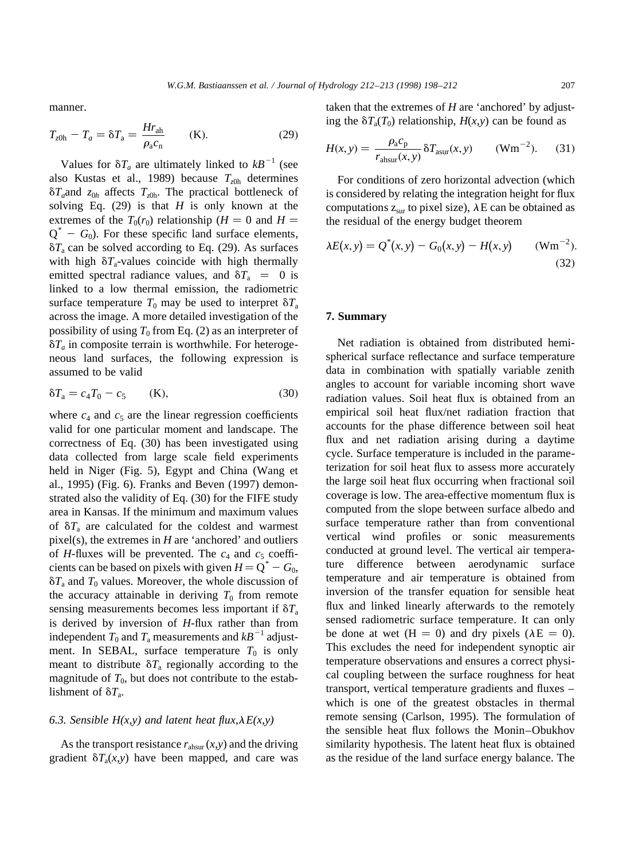manner.

$$
T_{z0h} - T_a = \delta T_a = \frac{Hr_{ah}}{\rho_a c_n} \qquad (K). \qquad (29)
$$

Values for  $\delta T_a$  are ultimately linked to  $kB^{-1}$  (see also Kustas et al., 1989) because  $T<sub>z0h</sub>$  determines  $\delta T_a$  and  $z_{0h}$  affects  $T_{z0h}$ . The practical bottleneck of solving Eq.  $(29)$  is that *H* is only known at the extremes of the  $T_0(r_0)$  relationship (*H* = 0 and *H* =  $Q^* - G_0$ ). For these specific land surface elements,  $\delta T_a$  can be solved according to Eq. (29). As surfaces with high  $\delta T_a$ -values coincide with high thermally emitted spectral radiance values, and  $\delta T_a = 0$  is linked to a low thermal emission, the radiometric surface temperature  $T_0$  may be used to interpret  $\delta T_a$ across the image. A more detailed investigation of the possibility of using  $T_0$  from Eq. (2) as an interpreter of  $\delta T_a$  in composite terrain is worthwhile. For heterogeneous land surfaces, the following expression is assumed to be valid

$$
\delta T_a = c_4 T_0 - c_5 \qquad (K), \tag{30}
$$

where  $c_4$  and  $c_5$  are the linear regression coefficients valid for one particular moment and landscape. The correctness of Eq. (30) has been investigated using data collected from large scale field experiments held in Niger (Fig. 5), Egypt and China (Wang et al., 1995) (Fig. 6). Franks and Beven (1997) demonstrated also the validity of Eq. (30) for the FIFE study area in Kansas. If the minimum and maximum values of  $\delta T_a$  are calculated for the coldest and warmest pixel(s), the extremes in *H* are 'anchored' and outliers of *H*-fluxes will be prevented. The  $c_4$  and  $c_5$  coefficients can be based on pixels with given  $H = Q^* - G_0$ ,  $\delta T_a$  and  $T_0$  values. Moreover, the whole discussion of the accuracy attainable in deriving  $T_0$  from remote sensing measurements becomes less important if  $\delta T_a$ is derived by inversion of *H*-flux rather than from independent  $T_0$  and  $T_a$  measurements and  $kB^{-1}$  adjustment. In SEBAL, surface temperature  $T_0$  is only meant to distribute  $\delta T_a$  regionally according to the magnitude of  $T_0$ , but does not contribute to the establishment of  $\delta T_a$ .

### 6.3. Sensible  $H(x, y)$  and latent heat flux,  $\lambda E(x, y)$

As the transport resistance  $r_{\text{absur}}(x, y)$  and the driving gradient  $\delta T_a(x,y)$  have been mapped, and care was taken that the extremes of *H* are 'anchored' by adjusting the  $\delta T_a(T_0)$  relationship,  $H(x, y)$  can be found as

$$
H(x, y) = \frac{\rho_a c_p}{r_{\text{absur}}(x, y)} \delta T_{\text{asur}}(x, y) \qquad (\text{Wm}^{-2}). \tag{31}
$$

For conditions of zero horizontal advection (which is considered by relating the integration height for flux computations  $z_{sur}$  to pixel size),  $\lambda E$  can be obtained as the residual of the energy budget theorem

$$
\lambda E(x, y) = Q^*(x, y) - G_0(x, y) - H(x, y) \qquad (\text{Wm}^{-2}).
$$
\n(32)

### **7. Summary**

Net radiation is obtained from distributed hemispherical surface reflectance and surface temperature data in combination with spatially variable zenith angles to account for variable incoming short wave radiation values. Soil heat flux is obtained from an empirical soil heat flux/net radiation fraction that accounts for the phase difference between soil heat flux and net radiation arising during a daytime cycle. Surface temperature is included in the parameterization for soil heat flux to assess more accurately the large soil heat flux occurring when fractional soil coverage is low. The area-effective momentum flux is computed from the slope between surface albedo and surface temperature rather than from conventional vertical wind profiles or sonic measurements conducted at ground level. The vertical air temperature difference between aerodynamic surface temperature and air temperature is obtained from inversion of the transfer equation for sensible heat flux and linked linearly afterwards to the remotely sensed radiometric surface temperature. It can only be done at wet  $(H = 0)$  and dry pixels  $(AE = 0)$ . This excludes the need for independent synoptic air temperature observations and ensures a correct physical coupling between the surface roughness for heat transport, vertical temperature gradients and fluxes – which is one of the greatest obstacles in thermal remote sensing (Carlson, 1995). The formulation of the sensible heat flux follows the Monin–Obukhov similarity hypothesis. The latent heat flux is obtained as the residue of the land surface energy balance. The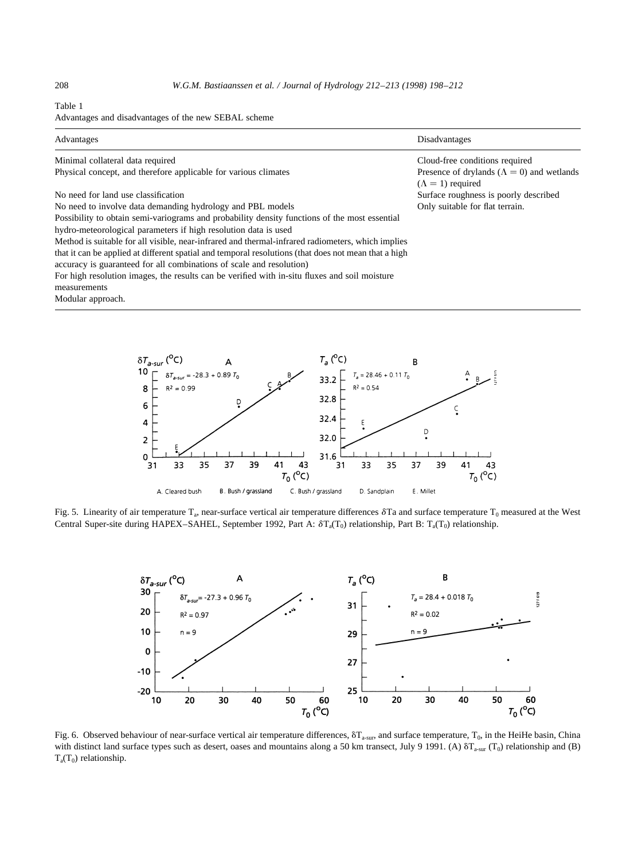### Table 1

Advantages and disadvantages of the new SEBAL scheme

| Advantages                                                                                                                                                                   | Disadvantages                                                                   |
|------------------------------------------------------------------------------------------------------------------------------------------------------------------------------|---------------------------------------------------------------------------------|
| Minimal collateral data required                                                                                                                                             | Cloud-free conditions required                                                  |
| Physical concept, and therefore applicable for various climates                                                                                                              | Presence of drylands ( $\Lambda = 0$ ) and wetlands<br>$(\Lambda = 1)$ required |
| No need for land use classification                                                                                                                                          | Surface roughness is poorly described                                           |
| No need to involve data demanding hydrology and PBL models                                                                                                                   | Only suitable for flat terrain.                                                 |
| Possibility to obtain semi-variograms and probability density functions of the most essential                                                                                |                                                                                 |
| hydro-meteorological parameters if high resolution data is used                                                                                                              |                                                                                 |
| Method is suitable for all visible, near-infrared and thermal-infrared radiometers, which implies                                                                            |                                                                                 |
| that it can be applied at different spatial and temporal resolutions (that does not mean that a high<br>accuracy is guaranteed for all combinations of scale and resolution) |                                                                                 |
| For high resolution images, the results can be verified with in-situ fluxes and soil moisture                                                                                |                                                                                 |
| measurements                                                                                                                                                                 |                                                                                 |
| Modular approach.                                                                                                                                                            |                                                                                 |



Fig. 5. Linearity of air temperature  $T_a$ , near-surface vertical air temperature differences  $\delta T_a$  and surface temperature  $T_0$  measured at the West Central Super-site during HAPEX–SAHEL, September 1992, Part A:  $\delta T_a(T_0)$  relationship, Part B:  $T_a(T_0)$  relationship.



Fig. 6. Observed behaviour of near-surface vertical air temperature differences,  $\delta T_{\text{a-sur}}$ , and surface temperature,  $T_0$ , in the HeiHe basin, China with distinct land surface types such as desert, oases and mountains along a 50 km transect, July 9 1991. (A)  $\delta T_{a-sur} (T_0)$  relationship and (B)  $T_a(T_0)$  relationship.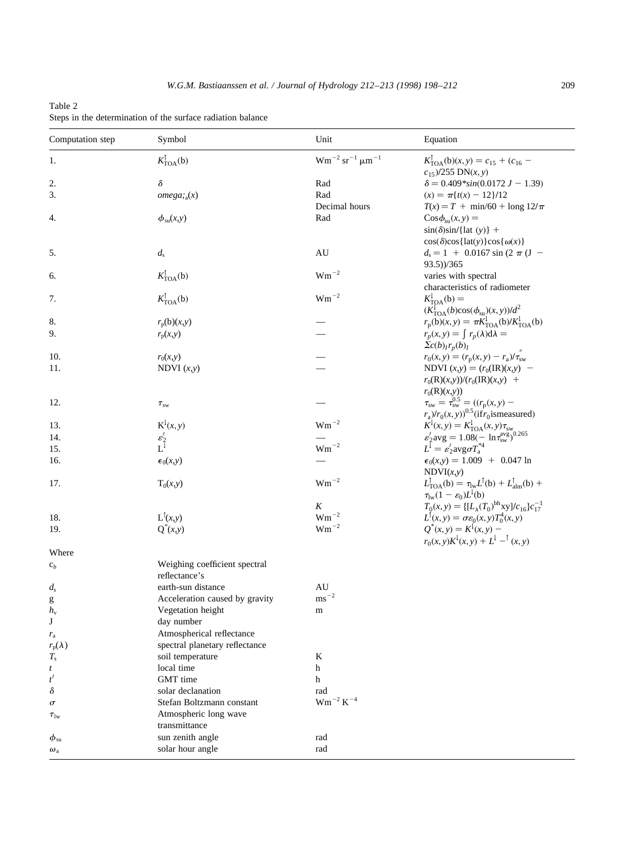| $Wm^{-2}$ sr <sup>-1</sup> $\mu$ m <sup>-1</sup><br>$K_{\text{TOA}}^{\dagger}(\mathbf{b})$<br>$K_{\text{TOA}}^{\dagger}(b)(x, y) = c_{15} + (c_{16} -$<br>1.<br>$c_{15}$ )/255 DN(x, y)<br>δ<br>$\delta = 0.409$ *sin(0.0172 J - 1.39)<br>2.<br>Rad<br>3.<br>omega; a(x)<br>Rad<br>$f(x) = \pi \{ t(x) - 12 \}/12$<br>Decimal hours<br>$T(x) = T + min/60 + long 12/\pi$<br>$\phi_{su}(x,y)$<br>Rad<br>$\cos \phi_{\rm su}(x, y) =$<br>4.<br>$\sin(\delta)\sin(\hat{a}(\theta))$ +<br>$\cos(\delta)\cos\{\text{lat}(y)\}\cos\{\omega(x)\}\$<br>$\mathrm{AU}$<br>5.<br>$d_{\rm s}$<br>$d_s = 1 + 0.0167 \sin (2 \pi (J -$<br>93.5))/365<br>$\mathrm{Wm}^{-2}$<br>$K_{\text{TOA}}^{\dagger}(\mathbf{b})$<br>varies with spectral<br>6.<br>characteristics of radiometer<br>$\mathrm{Wm}^{-2}$<br>$K_{\text{TOA}}^{\dagger}(\mathbf{b})$<br>$K_{\text{TOA}}^{\downarrow}(\mathbf{b}) =$<br>7.<br>$(K_{\text{TOA}}^{\downarrow}(b)\cos(\phi_{\text{su}})(x, y))/d^2$<br>$r_{\rm p}({\rm b})(x, y) = \pi K_{\rm TOA}^{\rm l}({\rm b})/K_{\rm TOA}^{\rm l}({\rm b})$<br>8.<br>$r_{\rm p}(\text{b})(x,y)$<br>9.<br>$r_p(x, y) = \int r_p(\lambda) d\lambda =$<br>$r_{\rm p}(x,y)$<br>$\sum c(b)_{I}r_{p}(b)_{I}$<br>$r_0(x, y) = (r_p(x, y) - r_a)/\tau_{sw}^2$<br>10.<br>$r_0(x,y)$<br>11.<br>NDVI $(x,y) = (r_0(\text{IR})(x,y)$ –<br>NDVI $(x,y)$<br>$r_0(R)(x,y)/(r_0(R)(x,y) +$<br>$r_0(R)(x,y)$<br>$\tau_{sw} = \tau_{sw}^{0.5} = ((r_p(x, y) - r_a)/r_0(x, y))^{0.5}$ (if $r_0$ is measured)<br>12.<br>$\tau_{\rm sw}$<br>$K^{\downarrow}(x, y)$<br>$\mathrm{Wm}^{-2}$<br>$K^1(x, y) = K^1_{\text{TOA}}(x, y) \tau_{sw}$<br>$\varepsilon'_2$ avg = 1.08(- ln $\tau_{sw}^{\text{avg}}$ ) <sup>0.265</sup><br>$L^1 = \varepsilon'_2$ avg $\sigma T^{*4}_4$<br>13.<br>$\frac{\varepsilon_2'}{\textrm{L}^{\downarrow}}$<br>14.<br>$\mathrm{Wm}^{-2}$<br>15.<br>$\epsilon_0(x,y) = 1.009 + 0.047 \ln$<br>16.<br>$\epsilon_0(x,y)$<br>NDVI(x,y)<br>$\mathrm{Wm}^{-2}$<br>$L_{\text{TOA}}^{\dagger}(b) = \tau_{\text{lw}} L^{\dagger}(b) + L_{\text{alm}}^{\dagger}(b) +$<br>17.<br>$T_0(x,y)$<br>$\tau_{\text{lw}}(1-\varepsilon_0)L^{\downarrow}(b)$<br>$T_0(x, y) = \left\{ [L_\lambda(T_0)^{\text{bh}} xy]/c_{16} \right\} c_{17}^{-1}$<br>$\cal K$<br>$\mathrm{Wm}^{-2}$<br>$L^{\dagger}(x,y)$<br>$L^{\dagger}(x, y) = \sigma \varepsilon_0(x, y) T_0^4(x, y)$<br>18.<br>$\mbox{Wm}^{-2}$<br>$Q^*(x, y) = K^{\downarrow}(x, y)$ –<br>19.<br>$Q^*(x,y)$<br>$r_0(x, y)K^{\downarrow}(x, y) + L^{\downarrow} -^{\uparrow}(x, y)$<br>Where<br>Weighing coefficient spectral<br>$c_b$<br>reflectance's<br>AU<br>earth-sun distance<br>$d_{\rm s}$<br>$\text{ms}^{-2}$<br>Acceleration caused by gravity<br>g<br>Vegetation height<br>$h_{v}$<br>m<br>J<br>day number<br>Atmospherical reflectance<br>$r_{\rm a}$<br>$r_{\rm p}(\lambda)$<br>spectral planetary reflectance<br>$T_{\rm s}$<br>soil temperature<br>K<br>h<br>local time<br>t<br>$t^\prime$<br>GMT time<br>h<br>δ<br>solar declanation<br>rad<br>$\rm W m^{-2}$ $\rm K^{-4}$<br>Stefan Boltzmann constant<br>$\sigma$<br>Atmospheric long wave<br>$\tau_{\text{lw}}$<br>transmittance<br>sun zenith angle<br>rad<br>$\phi_{\rm su}$<br>solar hour angle<br>rad<br>$\omega_{\rm a}$ | Computation step | Symbol | Unit | Equation |  |
|------------------------------------------------------------------------------------------------------------------------------------------------------------------------------------------------------------------------------------------------------------------------------------------------------------------------------------------------------------------------------------------------------------------------------------------------------------------------------------------------------------------------------------------------------------------------------------------------------------------------------------------------------------------------------------------------------------------------------------------------------------------------------------------------------------------------------------------------------------------------------------------------------------------------------------------------------------------------------------------------------------------------------------------------------------------------------------------------------------------------------------------------------------------------------------------------------------------------------------------------------------------------------------------------------------------------------------------------------------------------------------------------------------------------------------------------------------------------------------------------------------------------------------------------------------------------------------------------------------------------------------------------------------------------------------------------------------------------------------------------------------------------------------------------------------------------------------------------------------------------------------------------------------------------------------------------------------------------------------------------------------------------------------------------------------------------------------------------------------------------------------------------------------------------------------------------------------------------------------------------------------------------------------------------------------------------------------------------------------------------------------------------------------------------------------------------------------------------------------------------------------------------------------------------------------------------------------------------------------------------------------------------------------------------------------------------------------------------------------------------------------------------------------------------------------------------------------------------------------------------------------------------------------------------------------------------------------------------------------------------------------------------------------------------------------------------------------------------------------------------------------------------------------------------------------------------------------------------------------------|------------------|--------|------|----------|--|
|                                                                                                                                                                                                                                                                                                                                                                                                                                                                                                                                                                                                                                                                                                                                                                                                                                                                                                                                                                                                                                                                                                                                                                                                                                                                                                                                                                                                                                                                                                                                                                                                                                                                                                                                                                                                                                                                                                                                                                                                                                                                                                                                                                                                                                                                                                                                                                                                                                                                                                                                                                                                                                                                                                                                                                                                                                                                                                                                                                                                                                                                                                                                                                                                                                          |                  |        |      |          |  |
|                                                                                                                                                                                                                                                                                                                                                                                                                                                                                                                                                                                                                                                                                                                                                                                                                                                                                                                                                                                                                                                                                                                                                                                                                                                                                                                                                                                                                                                                                                                                                                                                                                                                                                                                                                                                                                                                                                                                                                                                                                                                                                                                                                                                                                                                                                                                                                                                                                                                                                                                                                                                                                                                                                                                                                                                                                                                                                                                                                                                                                                                                                                                                                                                                                          |                  |        |      |          |  |
|                                                                                                                                                                                                                                                                                                                                                                                                                                                                                                                                                                                                                                                                                                                                                                                                                                                                                                                                                                                                                                                                                                                                                                                                                                                                                                                                                                                                                                                                                                                                                                                                                                                                                                                                                                                                                                                                                                                                                                                                                                                                                                                                                                                                                                                                                                                                                                                                                                                                                                                                                                                                                                                                                                                                                                                                                                                                                                                                                                                                                                                                                                                                                                                                                                          |                  |        |      |          |  |
|                                                                                                                                                                                                                                                                                                                                                                                                                                                                                                                                                                                                                                                                                                                                                                                                                                                                                                                                                                                                                                                                                                                                                                                                                                                                                                                                                                                                                                                                                                                                                                                                                                                                                                                                                                                                                                                                                                                                                                                                                                                                                                                                                                                                                                                                                                                                                                                                                                                                                                                                                                                                                                                                                                                                                                                                                                                                                                                                                                                                                                                                                                                                                                                                                                          |                  |        |      |          |  |
|                                                                                                                                                                                                                                                                                                                                                                                                                                                                                                                                                                                                                                                                                                                                                                                                                                                                                                                                                                                                                                                                                                                                                                                                                                                                                                                                                                                                                                                                                                                                                                                                                                                                                                                                                                                                                                                                                                                                                                                                                                                                                                                                                                                                                                                                                                                                                                                                                                                                                                                                                                                                                                                                                                                                                                                                                                                                                                                                                                                                                                                                                                                                                                                                                                          |                  |        |      |          |  |
|                                                                                                                                                                                                                                                                                                                                                                                                                                                                                                                                                                                                                                                                                                                                                                                                                                                                                                                                                                                                                                                                                                                                                                                                                                                                                                                                                                                                                                                                                                                                                                                                                                                                                                                                                                                                                                                                                                                                                                                                                                                                                                                                                                                                                                                                                                                                                                                                                                                                                                                                                                                                                                                                                                                                                                                                                                                                                                                                                                                                                                                                                                                                                                                                                                          |                  |        |      |          |  |
|                                                                                                                                                                                                                                                                                                                                                                                                                                                                                                                                                                                                                                                                                                                                                                                                                                                                                                                                                                                                                                                                                                                                                                                                                                                                                                                                                                                                                                                                                                                                                                                                                                                                                                                                                                                                                                                                                                                                                                                                                                                                                                                                                                                                                                                                                                                                                                                                                                                                                                                                                                                                                                                                                                                                                                                                                                                                                                                                                                                                                                                                                                                                                                                                                                          |                  |        |      |          |  |
|                                                                                                                                                                                                                                                                                                                                                                                                                                                                                                                                                                                                                                                                                                                                                                                                                                                                                                                                                                                                                                                                                                                                                                                                                                                                                                                                                                                                                                                                                                                                                                                                                                                                                                                                                                                                                                                                                                                                                                                                                                                                                                                                                                                                                                                                                                                                                                                                                                                                                                                                                                                                                                                                                                                                                                                                                                                                                                                                                                                                                                                                                                                                                                                                                                          |                  |        |      |          |  |
|                                                                                                                                                                                                                                                                                                                                                                                                                                                                                                                                                                                                                                                                                                                                                                                                                                                                                                                                                                                                                                                                                                                                                                                                                                                                                                                                                                                                                                                                                                                                                                                                                                                                                                                                                                                                                                                                                                                                                                                                                                                                                                                                                                                                                                                                                                                                                                                                                                                                                                                                                                                                                                                                                                                                                                                                                                                                                                                                                                                                                                                                                                                                                                                                                                          |                  |        |      |          |  |
|                                                                                                                                                                                                                                                                                                                                                                                                                                                                                                                                                                                                                                                                                                                                                                                                                                                                                                                                                                                                                                                                                                                                                                                                                                                                                                                                                                                                                                                                                                                                                                                                                                                                                                                                                                                                                                                                                                                                                                                                                                                                                                                                                                                                                                                                                                                                                                                                                                                                                                                                                                                                                                                                                                                                                                                                                                                                                                                                                                                                                                                                                                                                                                                                                                          |                  |        |      |          |  |
|                                                                                                                                                                                                                                                                                                                                                                                                                                                                                                                                                                                                                                                                                                                                                                                                                                                                                                                                                                                                                                                                                                                                                                                                                                                                                                                                                                                                                                                                                                                                                                                                                                                                                                                                                                                                                                                                                                                                                                                                                                                                                                                                                                                                                                                                                                                                                                                                                                                                                                                                                                                                                                                                                                                                                                                                                                                                                                                                                                                                                                                                                                                                                                                                                                          |                  |        |      |          |  |
|                                                                                                                                                                                                                                                                                                                                                                                                                                                                                                                                                                                                                                                                                                                                                                                                                                                                                                                                                                                                                                                                                                                                                                                                                                                                                                                                                                                                                                                                                                                                                                                                                                                                                                                                                                                                                                                                                                                                                                                                                                                                                                                                                                                                                                                                                                                                                                                                                                                                                                                                                                                                                                                                                                                                                                                                                                                                                                                                                                                                                                                                                                                                                                                                                                          |                  |        |      |          |  |
|                                                                                                                                                                                                                                                                                                                                                                                                                                                                                                                                                                                                                                                                                                                                                                                                                                                                                                                                                                                                                                                                                                                                                                                                                                                                                                                                                                                                                                                                                                                                                                                                                                                                                                                                                                                                                                                                                                                                                                                                                                                                                                                                                                                                                                                                                                                                                                                                                                                                                                                                                                                                                                                                                                                                                                                                                                                                                                                                                                                                                                                                                                                                                                                                                                          |                  |        |      |          |  |
|                                                                                                                                                                                                                                                                                                                                                                                                                                                                                                                                                                                                                                                                                                                                                                                                                                                                                                                                                                                                                                                                                                                                                                                                                                                                                                                                                                                                                                                                                                                                                                                                                                                                                                                                                                                                                                                                                                                                                                                                                                                                                                                                                                                                                                                                                                                                                                                                                                                                                                                                                                                                                                                                                                                                                                                                                                                                                                                                                                                                                                                                                                                                                                                                                                          |                  |        |      |          |  |
|                                                                                                                                                                                                                                                                                                                                                                                                                                                                                                                                                                                                                                                                                                                                                                                                                                                                                                                                                                                                                                                                                                                                                                                                                                                                                                                                                                                                                                                                                                                                                                                                                                                                                                                                                                                                                                                                                                                                                                                                                                                                                                                                                                                                                                                                                                                                                                                                                                                                                                                                                                                                                                                                                                                                                                                                                                                                                                                                                                                                                                                                                                                                                                                                                                          |                  |        |      |          |  |
|                                                                                                                                                                                                                                                                                                                                                                                                                                                                                                                                                                                                                                                                                                                                                                                                                                                                                                                                                                                                                                                                                                                                                                                                                                                                                                                                                                                                                                                                                                                                                                                                                                                                                                                                                                                                                                                                                                                                                                                                                                                                                                                                                                                                                                                                                                                                                                                                                                                                                                                                                                                                                                                                                                                                                                                                                                                                                                                                                                                                                                                                                                                                                                                                                                          |                  |        |      |          |  |
|                                                                                                                                                                                                                                                                                                                                                                                                                                                                                                                                                                                                                                                                                                                                                                                                                                                                                                                                                                                                                                                                                                                                                                                                                                                                                                                                                                                                                                                                                                                                                                                                                                                                                                                                                                                                                                                                                                                                                                                                                                                                                                                                                                                                                                                                                                                                                                                                                                                                                                                                                                                                                                                                                                                                                                                                                                                                                                                                                                                                                                                                                                                                                                                                                                          |                  |        |      |          |  |
|                                                                                                                                                                                                                                                                                                                                                                                                                                                                                                                                                                                                                                                                                                                                                                                                                                                                                                                                                                                                                                                                                                                                                                                                                                                                                                                                                                                                                                                                                                                                                                                                                                                                                                                                                                                                                                                                                                                                                                                                                                                                                                                                                                                                                                                                                                                                                                                                                                                                                                                                                                                                                                                                                                                                                                                                                                                                                                                                                                                                                                                                                                                                                                                                                                          |                  |        |      |          |  |
|                                                                                                                                                                                                                                                                                                                                                                                                                                                                                                                                                                                                                                                                                                                                                                                                                                                                                                                                                                                                                                                                                                                                                                                                                                                                                                                                                                                                                                                                                                                                                                                                                                                                                                                                                                                                                                                                                                                                                                                                                                                                                                                                                                                                                                                                                                                                                                                                                                                                                                                                                                                                                                                                                                                                                                                                                                                                                                                                                                                                                                                                                                                                                                                                                                          |                  |        |      |          |  |
|                                                                                                                                                                                                                                                                                                                                                                                                                                                                                                                                                                                                                                                                                                                                                                                                                                                                                                                                                                                                                                                                                                                                                                                                                                                                                                                                                                                                                                                                                                                                                                                                                                                                                                                                                                                                                                                                                                                                                                                                                                                                                                                                                                                                                                                                                                                                                                                                                                                                                                                                                                                                                                                                                                                                                                                                                                                                                                                                                                                                                                                                                                                                                                                                                                          |                  |        |      |          |  |
|                                                                                                                                                                                                                                                                                                                                                                                                                                                                                                                                                                                                                                                                                                                                                                                                                                                                                                                                                                                                                                                                                                                                                                                                                                                                                                                                                                                                                                                                                                                                                                                                                                                                                                                                                                                                                                                                                                                                                                                                                                                                                                                                                                                                                                                                                                                                                                                                                                                                                                                                                                                                                                                                                                                                                                                                                                                                                                                                                                                                                                                                                                                                                                                                                                          |                  |        |      |          |  |
|                                                                                                                                                                                                                                                                                                                                                                                                                                                                                                                                                                                                                                                                                                                                                                                                                                                                                                                                                                                                                                                                                                                                                                                                                                                                                                                                                                                                                                                                                                                                                                                                                                                                                                                                                                                                                                                                                                                                                                                                                                                                                                                                                                                                                                                                                                                                                                                                                                                                                                                                                                                                                                                                                                                                                                                                                                                                                                                                                                                                                                                                                                                                                                                                                                          |                  |        |      |          |  |
|                                                                                                                                                                                                                                                                                                                                                                                                                                                                                                                                                                                                                                                                                                                                                                                                                                                                                                                                                                                                                                                                                                                                                                                                                                                                                                                                                                                                                                                                                                                                                                                                                                                                                                                                                                                                                                                                                                                                                                                                                                                                                                                                                                                                                                                                                                                                                                                                                                                                                                                                                                                                                                                                                                                                                                                                                                                                                                                                                                                                                                                                                                                                                                                                                                          |                  |        |      |          |  |
|                                                                                                                                                                                                                                                                                                                                                                                                                                                                                                                                                                                                                                                                                                                                                                                                                                                                                                                                                                                                                                                                                                                                                                                                                                                                                                                                                                                                                                                                                                                                                                                                                                                                                                                                                                                                                                                                                                                                                                                                                                                                                                                                                                                                                                                                                                                                                                                                                                                                                                                                                                                                                                                                                                                                                                                                                                                                                                                                                                                                                                                                                                                                                                                                                                          |                  |        |      |          |  |
|                                                                                                                                                                                                                                                                                                                                                                                                                                                                                                                                                                                                                                                                                                                                                                                                                                                                                                                                                                                                                                                                                                                                                                                                                                                                                                                                                                                                                                                                                                                                                                                                                                                                                                                                                                                                                                                                                                                                                                                                                                                                                                                                                                                                                                                                                                                                                                                                                                                                                                                                                                                                                                                                                                                                                                                                                                                                                                                                                                                                                                                                                                                                                                                                                                          |                  |        |      |          |  |
|                                                                                                                                                                                                                                                                                                                                                                                                                                                                                                                                                                                                                                                                                                                                                                                                                                                                                                                                                                                                                                                                                                                                                                                                                                                                                                                                                                                                                                                                                                                                                                                                                                                                                                                                                                                                                                                                                                                                                                                                                                                                                                                                                                                                                                                                                                                                                                                                                                                                                                                                                                                                                                                                                                                                                                                                                                                                                                                                                                                                                                                                                                                                                                                                                                          |                  |        |      |          |  |
|                                                                                                                                                                                                                                                                                                                                                                                                                                                                                                                                                                                                                                                                                                                                                                                                                                                                                                                                                                                                                                                                                                                                                                                                                                                                                                                                                                                                                                                                                                                                                                                                                                                                                                                                                                                                                                                                                                                                                                                                                                                                                                                                                                                                                                                                                                                                                                                                                                                                                                                                                                                                                                                                                                                                                                                                                                                                                                                                                                                                                                                                                                                                                                                                                                          |                  |        |      |          |  |
|                                                                                                                                                                                                                                                                                                                                                                                                                                                                                                                                                                                                                                                                                                                                                                                                                                                                                                                                                                                                                                                                                                                                                                                                                                                                                                                                                                                                                                                                                                                                                                                                                                                                                                                                                                                                                                                                                                                                                                                                                                                                                                                                                                                                                                                                                                                                                                                                                                                                                                                                                                                                                                                                                                                                                                                                                                                                                                                                                                                                                                                                                                                                                                                                                                          |                  |        |      |          |  |
|                                                                                                                                                                                                                                                                                                                                                                                                                                                                                                                                                                                                                                                                                                                                                                                                                                                                                                                                                                                                                                                                                                                                                                                                                                                                                                                                                                                                                                                                                                                                                                                                                                                                                                                                                                                                                                                                                                                                                                                                                                                                                                                                                                                                                                                                                                                                                                                                                                                                                                                                                                                                                                                                                                                                                                                                                                                                                                                                                                                                                                                                                                                                                                                                                                          |                  |        |      |          |  |
|                                                                                                                                                                                                                                                                                                                                                                                                                                                                                                                                                                                                                                                                                                                                                                                                                                                                                                                                                                                                                                                                                                                                                                                                                                                                                                                                                                                                                                                                                                                                                                                                                                                                                                                                                                                                                                                                                                                                                                                                                                                                                                                                                                                                                                                                                                                                                                                                                                                                                                                                                                                                                                                                                                                                                                                                                                                                                                                                                                                                                                                                                                                                                                                                                                          |                  |        |      |          |  |
|                                                                                                                                                                                                                                                                                                                                                                                                                                                                                                                                                                                                                                                                                                                                                                                                                                                                                                                                                                                                                                                                                                                                                                                                                                                                                                                                                                                                                                                                                                                                                                                                                                                                                                                                                                                                                                                                                                                                                                                                                                                                                                                                                                                                                                                                                                                                                                                                                                                                                                                                                                                                                                                                                                                                                                                                                                                                                                                                                                                                                                                                                                                                                                                                                                          |                  |        |      |          |  |
|                                                                                                                                                                                                                                                                                                                                                                                                                                                                                                                                                                                                                                                                                                                                                                                                                                                                                                                                                                                                                                                                                                                                                                                                                                                                                                                                                                                                                                                                                                                                                                                                                                                                                                                                                                                                                                                                                                                                                                                                                                                                                                                                                                                                                                                                                                                                                                                                                                                                                                                                                                                                                                                                                                                                                                                                                                                                                                                                                                                                                                                                                                                                                                                                                                          |                  |        |      |          |  |
|                                                                                                                                                                                                                                                                                                                                                                                                                                                                                                                                                                                                                                                                                                                                                                                                                                                                                                                                                                                                                                                                                                                                                                                                                                                                                                                                                                                                                                                                                                                                                                                                                                                                                                                                                                                                                                                                                                                                                                                                                                                                                                                                                                                                                                                                                                                                                                                                                                                                                                                                                                                                                                                                                                                                                                                                                                                                                                                                                                                                                                                                                                                                                                                                                                          |                  |        |      |          |  |
|                                                                                                                                                                                                                                                                                                                                                                                                                                                                                                                                                                                                                                                                                                                                                                                                                                                                                                                                                                                                                                                                                                                                                                                                                                                                                                                                                                                                                                                                                                                                                                                                                                                                                                                                                                                                                                                                                                                                                                                                                                                                                                                                                                                                                                                                                                                                                                                                                                                                                                                                                                                                                                                                                                                                                                                                                                                                                                                                                                                                                                                                                                                                                                                                                                          |                  |        |      |          |  |
|                                                                                                                                                                                                                                                                                                                                                                                                                                                                                                                                                                                                                                                                                                                                                                                                                                                                                                                                                                                                                                                                                                                                                                                                                                                                                                                                                                                                                                                                                                                                                                                                                                                                                                                                                                                                                                                                                                                                                                                                                                                                                                                                                                                                                                                                                                                                                                                                                                                                                                                                                                                                                                                                                                                                                                                                                                                                                                                                                                                                                                                                                                                                                                                                                                          |                  |        |      |          |  |
|                                                                                                                                                                                                                                                                                                                                                                                                                                                                                                                                                                                                                                                                                                                                                                                                                                                                                                                                                                                                                                                                                                                                                                                                                                                                                                                                                                                                                                                                                                                                                                                                                                                                                                                                                                                                                                                                                                                                                                                                                                                                                                                                                                                                                                                                                                                                                                                                                                                                                                                                                                                                                                                                                                                                                                                                                                                                                                                                                                                                                                                                                                                                                                                                                                          |                  |        |      |          |  |
|                                                                                                                                                                                                                                                                                                                                                                                                                                                                                                                                                                                                                                                                                                                                                                                                                                                                                                                                                                                                                                                                                                                                                                                                                                                                                                                                                                                                                                                                                                                                                                                                                                                                                                                                                                                                                                                                                                                                                                                                                                                                                                                                                                                                                                                                                                                                                                                                                                                                                                                                                                                                                                                                                                                                                                                                                                                                                                                                                                                                                                                                                                                                                                                                                                          |                  |        |      |          |  |
|                                                                                                                                                                                                                                                                                                                                                                                                                                                                                                                                                                                                                                                                                                                                                                                                                                                                                                                                                                                                                                                                                                                                                                                                                                                                                                                                                                                                                                                                                                                                                                                                                                                                                                                                                                                                                                                                                                                                                                                                                                                                                                                                                                                                                                                                                                                                                                                                                                                                                                                                                                                                                                                                                                                                                                                                                                                                                                                                                                                                                                                                                                                                                                                                                                          |                  |        |      |          |  |
|                                                                                                                                                                                                                                                                                                                                                                                                                                                                                                                                                                                                                                                                                                                                                                                                                                                                                                                                                                                                                                                                                                                                                                                                                                                                                                                                                                                                                                                                                                                                                                                                                                                                                                                                                                                                                                                                                                                                                                                                                                                                                                                                                                                                                                                                                                                                                                                                                                                                                                                                                                                                                                                                                                                                                                                                                                                                                                                                                                                                                                                                                                                                                                                                                                          |                  |        |      |          |  |
|                                                                                                                                                                                                                                                                                                                                                                                                                                                                                                                                                                                                                                                                                                                                                                                                                                                                                                                                                                                                                                                                                                                                                                                                                                                                                                                                                                                                                                                                                                                                                                                                                                                                                                                                                                                                                                                                                                                                                                                                                                                                                                                                                                                                                                                                                                                                                                                                                                                                                                                                                                                                                                                                                                                                                                                                                                                                                                                                                                                                                                                                                                                                                                                                                                          |                  |        |      |          |  |
|                                                                                                                                                                                                                                                                                                                                                                                                                                                                                                                                                                                                                                                                                                                                                                                                                                                                                                                                                                                                                                                                                                                                                                                                                                                                                                                                                                                                                                                                                                                                                                                                                                                                                                                                                                                                                                                                                                                                                                                                                                                                                                                                                                                                                                                                                                                                                                                                                                                                                                                                                                                                                                                                                                                                                                                                                                                                                                                                                                                                                                                                                                                                                                                                                                          |                  |        |      |          |  |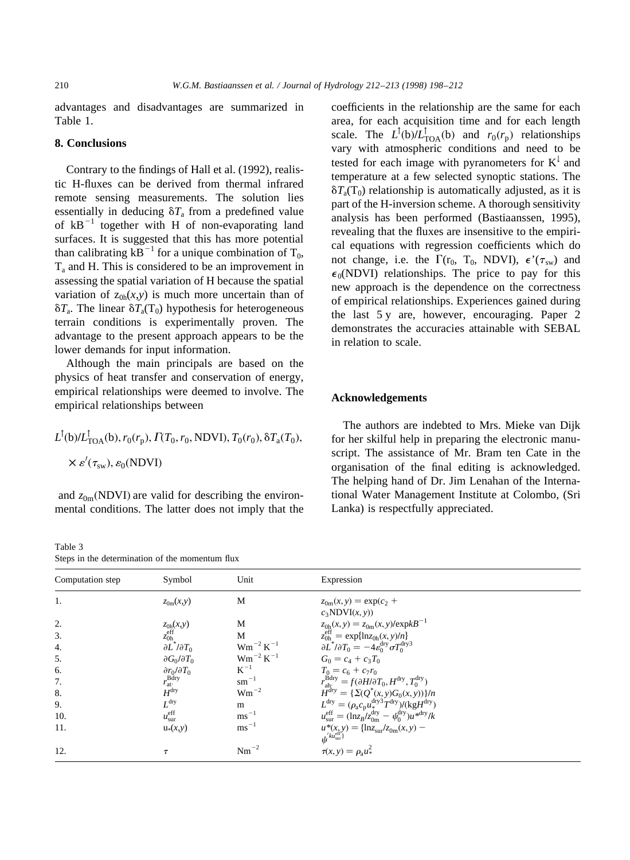advantages and disadvantages are summarized in Table 1.

# **8. Conclusions**

Contrary to the findings of Hall et al. (1992), realistic H-fluxes can be derived from thermal infrared remote sensing measurements. The solution lies essentially in deducing  $\delta T_a$  from a predefined value of  $kB^{-1}$  together with H of non-evaporating land surfaces. It is suggested that this has more potential than calibrating  $kB^{-1}$  for a unique combination of  $T_0$ ,  $T_a$  and H. This is considered to be an improvement in assessing the spatial variation of H because the spatial variation of  $z_{0h}(x,y)$  is much more uncertain than of  $\delta T_a$ . The linear  $\delta T_a(T_0)$  hypothesis for heterogeneous terrain conditions is experimentally proven. The advantage to the present approach appears to be the lower demands for input information.

Although the main principals are based on the physics of heat transfer and conservation of energy, empirical relationships were deemed to involve. The empirical relationships between

 $L^{\dagger}$ (b)/ $L^{\dagger}_{TOA}$ (b),  $r_0(r_p)$ ,  $\Gamma(T_0, r_0, \text{NDVI})$ ,  $T_0(r_0)$ ,  $\delta T_a(T_0)$ ,  $\times \varepsilon'(\tau_{sw}), \varepsilon_0(\mathrm{NDVI})$ 

and  $z_{0m}$ (NDVI) are valid for describing the environmental conditions. The latter does not imply that the

Table 3 Steps in the determination of the momentum flux

coefficients in the relationship are the same for each area, for each acquisition time and for each length scale. The  $L^{\dagger}$ (b) $/L^{\dagger}_{\text{TOA}}$ (b) and  $r_0(r_p)$  relationships vary with atmospheric conditions and need to be tested for each image with pyranometers for  $K^{\downarrow}$  and temperature at a few selected synoptic stations. The  $\delta T_a(T_0)$  relationship is automatically adjusted, as it is part of the H-inversion scheme. A thorough sensitivity analysis has been performed (Bastiaanssen, 1995), revealing that the fluxes are insensitive to the empirical equations with regression coefficients which do not change, i.e. the  $\Gamma(r_0, T_0, NDVI)$ ,  $\epsilon'(\tau_{sw})$  and  $\epsilon_0$ (NDVI) relationships. The price to pay for this new approach is the dependence on the correctness of empirical relationships. Experiences gained during the last 5 y are, however, encouraging. Paper 2 demonstrates the accuracies attainable with SEBAL in relation to scale.

### **Acknowledgements**

The authors are indebted to Mrs. Mieke van Dijk for her skilful help in preparing the electronic manuscript. The assistance of Mr. Bram ten Cate in the organisation of the final editing is acknowledged. The helping hand of Dr. Jim Lenahan of the International Water Management Institute at Colombo, (Sri Lanka) is respectfully appreciated.

| Computation step | Symbol                        | Unit                     | Expression                                                                                                           |
|------------------|-------------------------------|--------------------------|----------------------------------------------------------------------------------------------------------------------|
| 1.               | $z_{0m}(x,y)$                 | M                        | $z_{0m}(x, y) = \exp(c_2 +$<br>$c_3$ NDVI $(x, y)$                                                                   |
| 2.               | $z_{0h}(x,y)$                 | M                        | $z_{0h}(x, y) = z_{0m}(x, y)/\exp kB^{-1}$                                                                           |
| 3.               | $z_{0h}^{\text{eff}}$         | M                        | $z_{0h}^{\text{eff}} = \exp{\{\ln z_{0h}(x, y)/n\}}$                                                                 |
| 4.               | $\partial L^* / \partial T_0$ | $\rm W m^{-2} \, K^{-1}$ | $\partial L^* / \partial T_0 = -4 \varepsilon_0^{\text{dry}} \sigma T_0^{\text{dry}}$                                |
| 5.               | $\partial G_0/\partial T_0$   | $\rm W m^{-2} \, K^{-1}$ | $G_0 = c_4 + c_3 T_0$                                                                                                |
| 6.               | $\partial r_0/\partial T_0$   | $K^{-1}$                 | $T_0 = c_6 + c_7 r_0$                                                                                                |
| 7.               | $r_{\rm at}^{\rm Bdry}$       | $\rm{cm}^{-1}$           | $r_{\text{ah}}^{\text{Bdry}} = f(\partial H/\partial T_0, H^{\text{dry}}, T_0^{\text{dry}})$                         |
| 8.               | $H^{\rm dry}$                 | $Wm^{-2}$                | $H^{dry} = {\sum (Q^*(x, y)G_0(x, y))}/n$                                                                            |
| 9.               | $L^{\rm dry}$                 | m                        | $L^{\text{dry}} = (\rho_{\text{a}} c_{\text{p}} u^{\text{dry3}}_{\ast} T^{\text{dry}}) / (\text{kg} H^{\text{dry}})$ |
| 10.              | $u_{\text{sur}}^{\text{eff}}$ | $\text{ms}^{-1}$         | $u_{\text{sur}}^{\text{eff}} = (\ln z_B / z_{0\text{m}}^{\text{dry}} - \psi_0^{\text{dry}}) u^{\text{adv}} / k$      |
| 11.              | $u*(x,y)$                     | $\text{ms}^{-1}$         | $u^*(x, y) = \{\ln z_{\text{sur}}/z_{0\text{m}}(x, y) - \psi^{k u_{\text{sur}}^{\text{eff}}}\}$                      |
| 12.              |                               | $Nm^{-2}$                | $\tau(x, y) = \rho_a u^2$                                                                                            |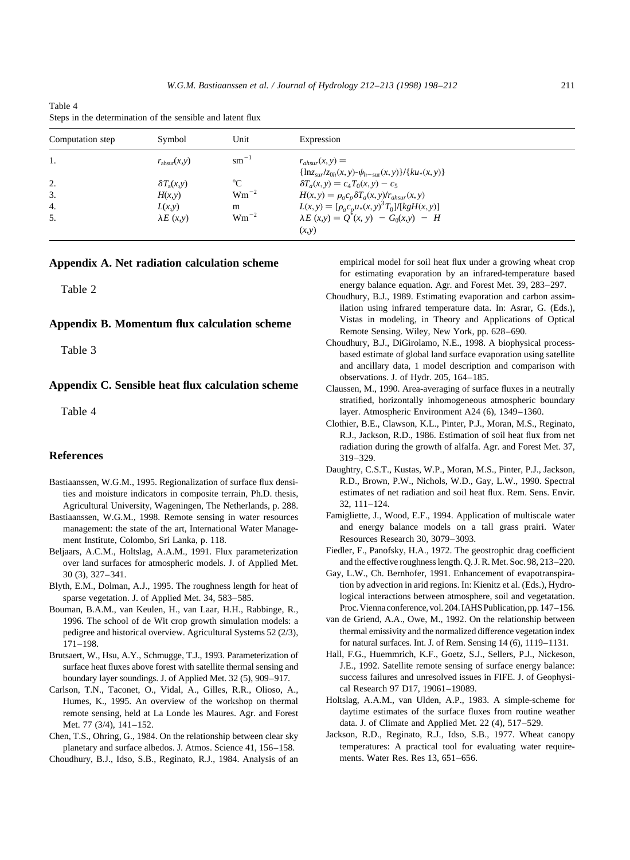| Table 4 |                                                            |  |  |
|---------|------------------------------------------------------------|--|--|
|         | Steps in the determination of the sensible and latent flux |  |  |

| Computation step | Symbol                   | Unit             | Expression                                                                                                |  |
|------------------|--------------------------|------------------|-----------------------------------------------------------------------------------------------------------|--|
| 1.               | $r_{\text{absur}}(x, y)$ | $\text{cm}^{-1}$ | $r_{\text{absur}}(x, y) =$<br>$\{\ln z_{\rm sur}/z_{0h}(x, y) - \psi_{h-\rm sur}(x, y)\}/\{ku_*(x, y)\}\$ |  |
| 2.               | $\delta T_a(x,y)$        | $^{\circ}C$      | $\delta T_a(x, y) = c_4 T_0(x, y) - c_5$                                                                  |  |
| 3.               | H(x,y)                   | $Wm^{-2}$        | $H(x, y) = \rho_a c_p \delta T_a(x, y) / r_{\text{absur}}(x, y)$                                          |  |
| 4.               | L(x,y)                   | m                | $L(x, y) = [\rho_a c_p u_*(x, y)^3 T_0]/[kgH(x, y)]$                                                      |  |
| 5.               | $\lambda E(x,y)$         | $Wm^{-2}$        | $\lambda E(x, y) = Q^{(x, y)} - G_0(x, y) - H$<br>(x,y)                                                   |  |

#### **Appendix A. Net radiation calculation scheme**

Table 2

# **Appendix B. Momentum flux calculation scheme**

Table 3

# **Appendix C. Sensible heat flux calculation scheme**

Table 4

# **References**

- Bastiaanssen, W.G.M., 1995. Regionalization of surface flux densities and moisture indicators in composite terrain, Ph.D. thesis, Agricultural University, Wageningen, The Netherlands, p. 288.
- Bastiaanssen, W.G.M., 1998. Remote sensing in water resources management: the state of the art, International Water Management Institute, Colombo, Sri Lanka, p. 118.
- Beljaars, A.C.M., Holtslag, A.A.M., 1991. Flux parameterization over land surfaces for atmospheric models. J. of Applied Met. 30 (3), 327–341.
- Blyth, E.M., Dolman, A.J., 1995. The roughness length for heat of sparse vegetation. J. of Applied Met. 34, 583–585.
- Bouman, B.A.M., van Keulen, H., van Laar, H.H., Rabbinge, R., 1996. The school of de Wit crop growth simulation models: a pedigree and historical overview. Agricultural Systems 52 (2/3), 171–198.
- Brutsaert, W., Hsu, A.Y., Schmugge, T.J., 1993. Parameterization of surface heat fluxes above forest with satellite thermal sensing and boundary layer soundings. J. of Applied Met. 32 (5), 909–917.
- Carlson, T.N., Taconet, O., Vidal, A., Gilles, R.R., Olioso, A., Humes, K., 1995. An overview of the workshop on thermal remote sensing, held at La Londe les Maures. Agr. and Forest Met. 77 (3/4), 141–152.
- Chen, T.S., Ohring, G., 1984. On the relationship between clear sky planetary and surface albedos. J. Atmos. Science 41, 156–158. Choudhury, B.J., Idso, S.B., Reginato, R.J., 1984. Analysis of an

empirical model for soil heat flux under a growing wheat crop for estimating evaporation by an infrared-temperature based energy balance equation. Agr. and Forest Met. 39, 283–297.

- Choudhury, B.J., 1989. Estimating evaporation and carbon assimilation using infrared temperature data. In: Asrar, G. (Eds.), Vistas in modeling, in Theory and Applications of Optical Remote Sensing. Wiley, New York, pp. 628–690.
- Choudhury, B.J., DiGirolamo, N.E., 1998. A biophysical processbased estimate of global land surface evaporation using satellite and ancillary data, 1 model description and comparison with observations. J. of Hydr. 205, 164–185.
- Claussen, M., 1990. Area-averaging of surface fluxes in a neutrally stratified, horizontally inhomogeneous atmospheric boundary layer. Atmospheric Environment A24 (6), 1349–1360.
- Clothier, B.E., Clawson, K.L., Pinter, P.J., Moran, M.S., Reginato, R.J., Jackson, R.D., 1986. Estimation of soil heat flux from net radiation during the growth of alfalfa. Agr. and Forest Met. 37, 319–329.
- Daughtry, C.S.T., Kustas, W.P., Moran, M.S., Pinter, P.J., Jackson, R.D., Brown, P.W., Nichols, W.D., Gay, L.W., 1990. Spectral estimates of net radiation and soil heat flux. Rem. Sens. Envir. 32, 111–124.
- Famigliette, J., Wood, E.F., 1994. Application of multiscale water and energy balance models on a tall grass prairi. Water Resources Research 30, 3079–3093.
- Fiedler, F., Panofsky, H.A., 1972. The geostrophic drag coefficient and the effective roughness length. Q. J. R. Met. Soc. 98, 213–220.
- Gay, L.W., Ch. Bernhofer, 1991. Enhancement of evapotranspiration by advection in arid regions. In: Kienitz et al. (Eds.), Hydrological interactions between atmosphere, soil and vegetatation. Proc. Vienna conference, vol. 204. IAHS Publication, pp. 147–156.
- van de Griend, A.A., Owe, M., 1992. On the relationship between thermal emissivity and the normalized difference vegetation index for natural surfaces. Int. J. of Rem. Sensing 14 (6), 1119–1131.
- Hall, F.G., Huemmrich, K.F., Goetz, S.J., Sellers, P.J., Nickeson, J.E., 1992. Satellite remote sensing of surface energy balance: success failures and unresolved issues in FIFE. J. of Geophysical Research 97 D17, 19061–19089.
- Holtslag, A.A.M., van Ulden, A.P., 1983. A simple-scheme for daytime estimates of the surface fluxes from routine weather data. J. of Climate and Applied Met. 22 (4), 517–529.
- Jackson, R.D., Reginato, R.J., Idso, S.B., 1977. Wheat canopy temperatures: A practical tool for evaluating water requirements. Water Res. Res 13, 651–656.